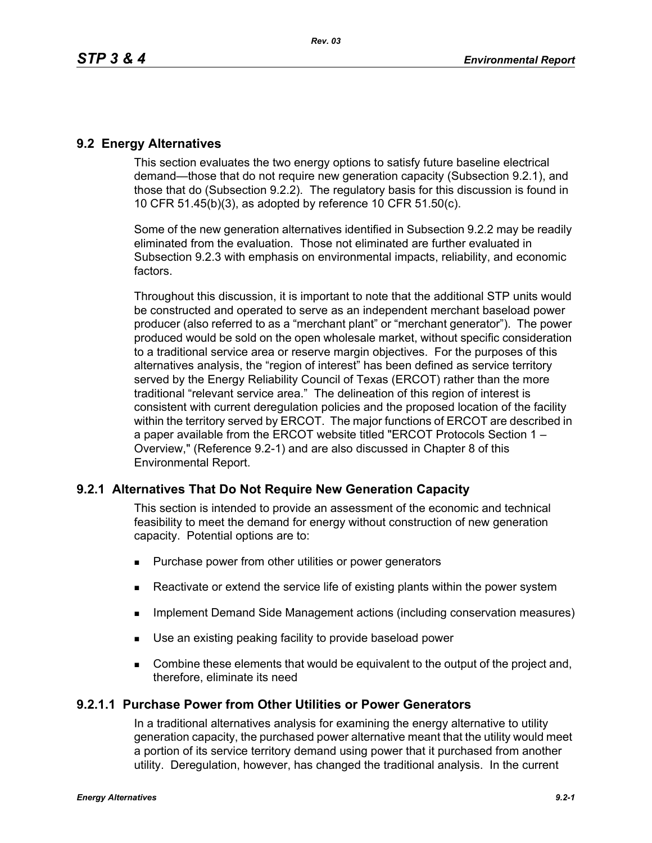# **9.2 Energy Alternatives**

This section evaluates the two energy options to satisfy future baseline electrical demand—those that do not require new generation capacity (Subsection 9.2.1), and those that do (Subsection 9.2.2). The regulatory basis for this discussion is found in 10 CFR 51.45(b)(3), as adopted by reference 10 CFR 51.50(c).

Some of the new generation alternatives identified in Subsection 9.2.2 may be readily eliminated from the evaluation. Those not eliminated are further evaluated in Subsection 9.2.3 with emphasis on environmental impacts, reliability, and economic factors.

Throughout this discussion, it is important to note that the additional STP units would be constructed and operated to serve as an independent merchant baseload power producer (also referred to as a "merchant plant" or "merchant generator"). The power produced would be sold on the open wholesale market, without specific consideration to a traditional service area or reserve margin objectives. For the purposes of this alternatives analysis, the "region of interest" has been defined as service territory served by the Energy Reliability Council of Texas (ERCOT) rather than the more traditional "relevant service area." The delineation of this region of interest is consistent with current deregulation policies and the proposed location of the facility within the territory served by ERCOT. The major functions of ERCOT are described in a paper available from the ERCOT website titled "ERCOT Protocols Section 1 – Overview," (Reference 9.2-1) and are also discussed in Chapter 8 of this Environmental Report.

# **9.2.1 Alternatives That Do Not Require New Generation Capacity**

This section is intended to provide an assessment of the economic and technical feasibility to meet the demand for energy without construction of new generation capacity. Potential options are to:

- **Purchase power from other utilities or power generators**
- Reactivate or extend the service life of existing plants within the power system
- Implement Demand Side Management actions (including conservation measures)
- Use an existing peaking facility to provide baseload power
- **Combine these elements that would be equivalent to the output of the project and,** therefore, eliminate its need

# **9.2.1.1 Purchase Power from Other Utilities or Power Generators**

In a traditional alternatives analysis for examining the energy alternative to utility generation capacity, the purchased power alternative meant that the utility would meet a portion of its service territory demand using power that it purchased from another utility. Deregulation, however, has changed the traditional analysis. In the current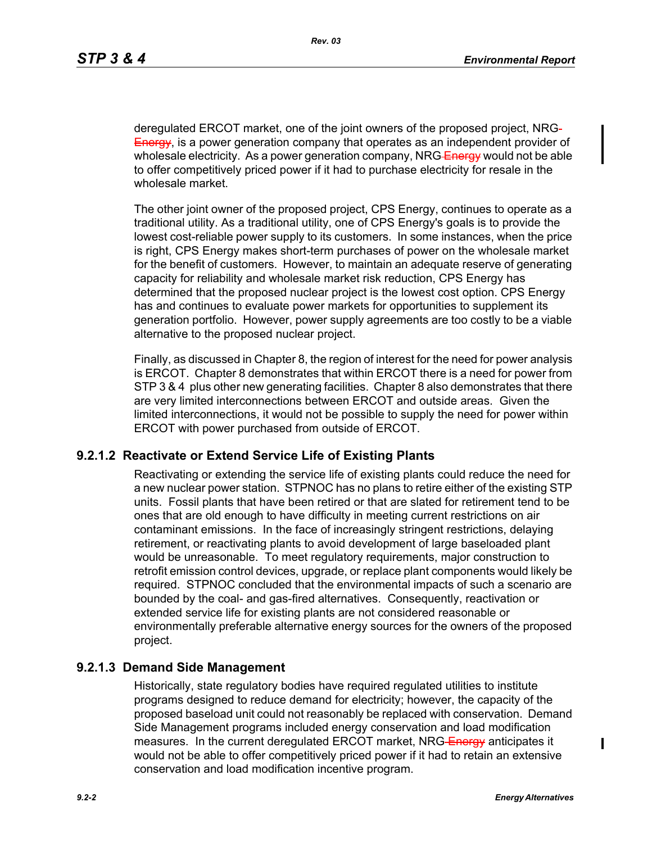deregulated ERCOT market, one of the joint owners of the proposed project, NRG Energy, is a power generation company that operates as an independent provider of wholesale electricity. As a power generation company, NRG Energy would not be able to offer competitively priced power if it had to purchase electricity for resale in the wholesale market.

The other joint owner of the proposed project, CPS Energy, continues to operate as a traditional utility. As a traditional utility, one of CPS Energy's goals is to provide the lowest cost-reliable power supply to its customers. In some instances, when the price is right, CPS Energy makes short-term purchases of power on the wholesale market for the benefit of customers. However, to maintain an adequate reserve of generating capacity for reliability and wholesale market risk reduction, CPS Energy has determined that the proposed nuclear project is the lowest cost option. CPS Energy has and continues to evaluate power markets for opportunities to supplement its generation portfolio. However, power supply agreements are too costly to be a viable alternative to the proposed nuclear project.

Finally, as discussed in Chapter 8, the region of interest for the need for power analysis is ERCOT. Chapter 8 demonstrates that within ERCOT there is a need for power from STP 3 & 4 plus other new generating facilities. Chapter 8 also demonstrates that there are very limited interconnections between ERCOT and outside areas. Given the limited interconnections, it would not be possible to supply the need for power within ERCOT with power purchased from outside of ERCOT.

### **9.2.1.2 Reactivate or Extend Service Life of Existing Plants**

Reactivating or extending the service life of existing plants could reduce the need for a new nuclear power station. STPNOC has no plans to retire either of the existing STP units. Fossil plants that have been retired or that are slated for retirement tend to be ones that are old enough to have difficulty in meeting current restrictions on air contaminant emissions. In the face of increasingly stringent restrictions, delaying retirement, or reactivating plants to avoid development of large baseloaded plant would be unreasonable. To meet regulatory requirements, major construction to retrofit emission control devices, upgrade, or replace plant components would likely be required. STPNOC concluded that the environmental impacts of such a scenario are bounded by the coal- and gas-fired alternatives. Consequently, reactivation or extended service life for existing plants are not considered reasonable or environmentally preferable alternative energy sources for the owners of the proposed project.

### **9.2.1.3 Demand Side Management**

Historically, state regulatory bodies have required regulated utilities to institute programs designed to reduce demand for electricity; however, the capacity of the proposed baseload unit could not reasonably be replaced with conservation. Demand Side Management programs included energy conservation and load modification measures. In the current deregulated ERCOT market, NRG-Energy anticipates it would not be able to offer competitively priced power if it had to retain an extensive conservation and load modification incentive program.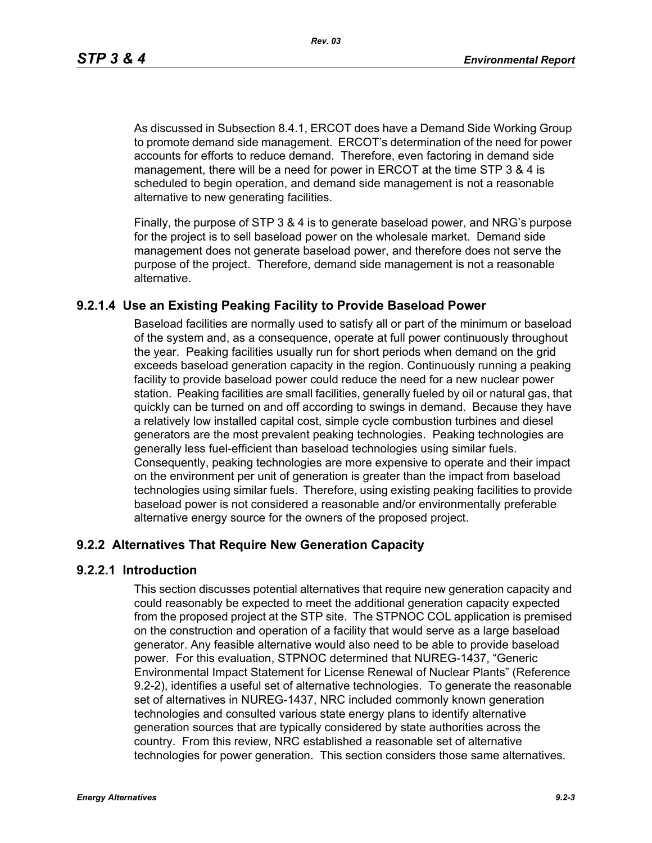As discussed in Subsection 8.4.1, ERCOT does have a Demand Side Working Group to promote demand side management. ERCOT's determination of the need for power accounts for efforts to reduce demand. Therefore, even factoring in demand side management, there will be a need for power in ERCOT at the time STP 3 & 4 is scheduled to begin operation, and demand side management is not a reasonable alternative to new generating facilities.

[Finally, the purpose of STP 3 & 4 is to generate baseload power, and NRG's purpose](http://www.eere.energy.gov/windandhydro/windpoweringamerica/pdfs/power_supply_guidebook.pdf)  for the project is to sell baseload power on the wholesale market. Demand side management does not generate baseload power, and therefore does not serve the purpose of the project. Therefore, demand side management is not a reasonable alternative.

# **9.2.1.4 Use an Existing Peaking Facility to Provide Baseload Power**

Baseload facilities are normally used to satisfy all or part of the minimum or baseload of the system and, as a consequence, operate at full power continuously throughout the year. Peaking facilities usually run for short periods when demand on the grid exceeds baseload generation capacity in the region. Continuously running a peaking facility to provide baseload power could reduce the need for a new nuclear power station. Peaking facilities are small facilities, generally fueled by oil or natural gas, that quickly can be turned on and off according to swings in demand. Because they have a relatively low installed capital cost, simple cycle combustion turbines and diesel generators are the most prevalent peaking technologies. Peaking technologies are generally less fuel-efficient than baseload technologies using similar fuels. Consequently, peaking technologies are more expensive to operate and their impact on the environment per unit of generation is greater than the impact from baseload technologies using similar fuels. Therefore, using existing peaking facilities to provide baseload power is not considered a reasonable and/or environmentally preferable alternative energy source for the owners of the proposed project.

# **9.2.2 Alternatives That Require New Generation Capacity**

### **9.2.2.1 Introduction**

This section discusses potential alternatives that require new generation capacity and could reasonably be expected to meet the additional generation capacity expected from the proposed project at the STP site. The STPNOC COL application is premised on the construction and operation of a facility that would serve as a large baseload generator. Any feasible alternative would also need to be able to provide baseload power. For this evaluation, STPNOC determined that NUREG-1437, "Generic Environmental Impact Statement for License Renewal of Nuclear Plants" (Reference 9.2-2), identifies a useful set of alternative technologies. To generate the reasonable set of alternatives in NUREG-1437, NRC included commonly known generation technologies and consulted various state energy plans to identify alternative generation sources that are typically considered by state authorities across the country. From this review, NRC established a reasonable set of alternative technologies for power generation. This section considers those same alternatives.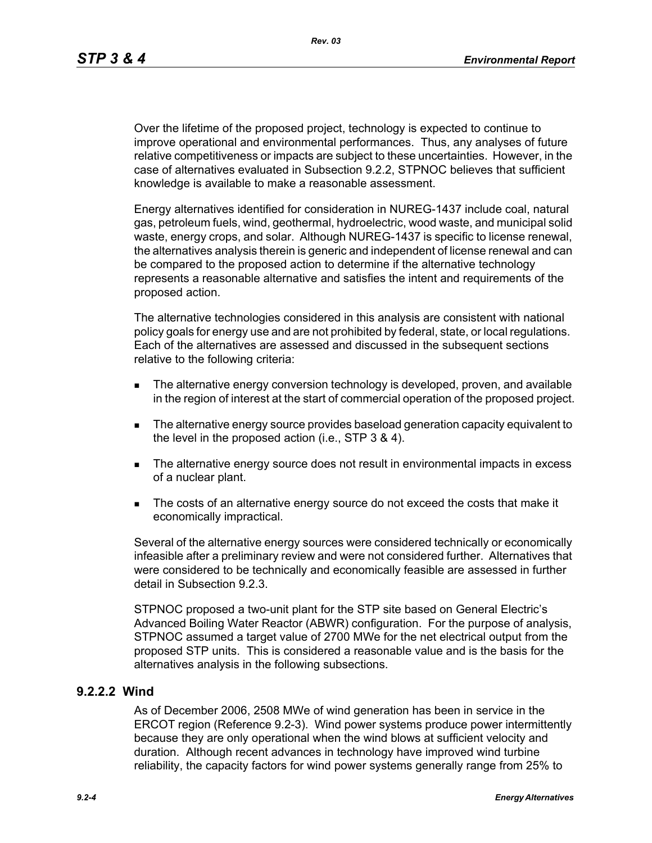Over the lifetime of the proposed project, technology is expected to continue to improve operational and environmental performances. Thus, any analyses of future relative competitiveness or impacts are subject to these uncertainties. However, in the case of alternatives evaluated in Subsection 9.2.2, STPNOC believes that sufficient knowledge is available to make a reasonable assessment.

Energy alternatives identified for consideration in NUREG-1437 include coal, natural gas, petroleum fuels, wind, geothermal, hydroelectric, wood waste, and municipal solid waste, energy crops, and solar. Although NUREG-1437 is specific to license renewal, the alternatives analysis therein is generic and independent of license renewal and can be compared to the proposed action to determine if the alternative technology represents a reasonable alternative and satisfies the intent and requirements of the proposed action.

The alternative technologies considered in this analysis are consistent with national policy goals for energy use and are not prohibited by federal, state, or local regulations. Each of the alternatives are assessed and discussed in the subsequent sections relative to the following criteria:

- **The alternative energy conversion technology is developed, proven, and available** in the region of interest at the start of commercial operation of the proposed project.
- The alternative energy source provides baseload generation capacity equivalent to the level in the proposed action (i.e., STP 3 & 4).
- The alternative energy source does not result in environmental impacts in excess of a nuclear plant.
- The costs of an alternative energy source do not exceed the costs that make it economically impractical.

Several of the alternative energy sources were considered technically or economically infeasible after a preliminary review and were not considered further. Alternatives that were considered to be technically and economically feasible are assessed in further detail in Subsection 9.2.3.

STPNOC proposed a two-unit plant for the STP site based on General Electric's Advanced Boiling Water Reactor (ABWR) configuration. For the purpose of analysis, STPNOC assumed a target value of 2700 MWe for the net electrical output from the proposed STP units. This is considered a reasonable value and is the basis for the alternatives analysis in the following subsections.

### **9.2.2.2 Wind**

As of December 2006, 2508 MWe of wind generation has been in service in the ERCOT region (Reference 9.2-3). Wind power systems produce power intermittently because they are only operational when the wind blows at sufficient velocity and duration. Although recent advances in technology have improved wind turbine reliability, the capacity factors for wind power systems generally range from 25% to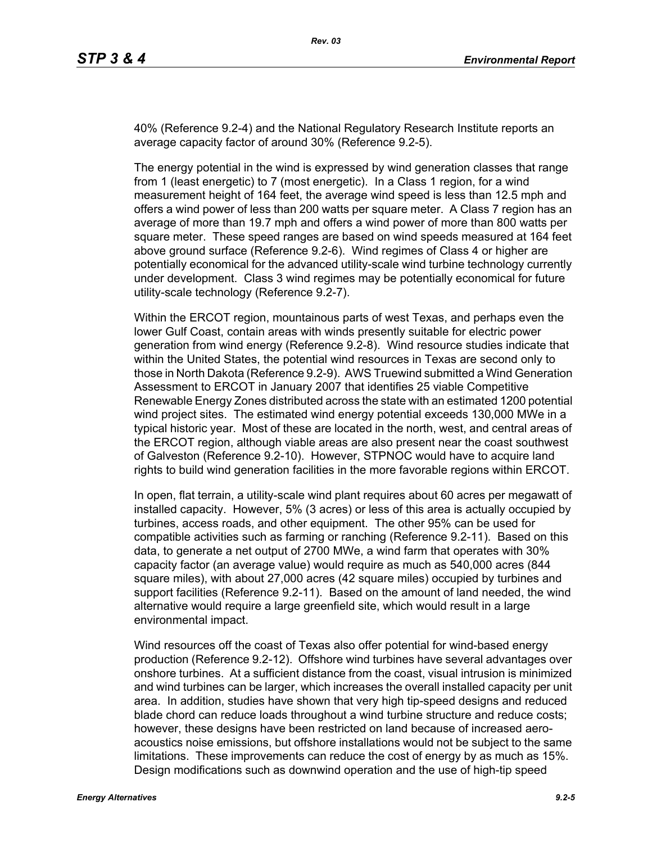40% (Reference 9.2-4) and the National Regulatory Research Institute reports an average capacity factor of around 30% (Reference 9.2-5).

The energy potential in the wind is expressed by wind generation classes that range from 1 (least energetic) to 7 (most energetic). In a Class 1 region, for a wind measurement height of 164 feet, the average wind speed is less than 12.5 mph and offers a wind power of less than 200 watts per square meter. A Class 7 region has an average of more than 19.7 mph and offers a wind power of more than 800 watts per square meter. These speed ranges are based on wind speeds measured at 164 feet above ground surface (Reference 9.2-6). Wind regimes of Class 4 or higher are potentially economical for the advanced utility-scale wind turbine technology currently under development. Class 3 wind regimes may be potentially economical for future utility-scale technology (Reference 9.2-7).

Within the ERCOT region, mountainous parts of west Texas, and perhaps even the lower Gulf Coast, contain areas with winds presently suitable for electric power generation from wind energy (Reference 9.2-8). Wind resource studies indicate that within the United States, the potential wind resources in Texas are second only to those in North Dakota (Reference 9.2-9). AWS Truewind submitted a Wind Generation Assessment to ERCOT in January 2007 that identifies 25 viable Competitive Renewable Energy Zones distributed across the state with an estimated 1200 potential wind project sites. The estimated wind energy potential exceeds 130,000 MWe in a typical historic year. Most of these are located in the north, west, and central areas of the ERCOT region, although viable areas are also present near the coast southwest of Galveston (Reference 9.2-10). However, STPNOC would have to acquire land rights to build wind generation facilities in the more favorable regions within ERCOT.

In open, flat terrain, a utility-scale wind plant requires about 60 acres per megawatt of installed capacity. However, 5% (3 acres) or less of this area is actually occupied by turbines, access roads, and other equipment. The other 95% can be used for compatible activities such as farming or ranching (Reference 9.2-11). Based on this data, to generate a net output of 2700 MWe, a wind farm that operates with 30% capacity factor (an average value) would require as much as 540,000 acres (844 square miles), with about 27,000 acres (42 square miles) occupied by turbines and support facilities (Reference 9.2-11). Based on the amount of land needed, the wind alternative would require a large greenfield site, which would result in a large environmental impact.

Wind resources off the coast of Texas also offer potential for wind-based energy production (Reference 9.2-12). Offshore wind turbines have several advantages over onshore turbines. At a sufficient distance from the coast, visual intrusion is minimized and wind turbines can be larger, which increases the overall installed capacity per unit area. In addition, studies have shown that very high tip-speed designs and reduced blade chord can reduce loads throughout a wind turbine structure and reduce costs; however, these designs have been restricted on land because of increased aeroacoustics noise emissions, but offshore installations would not be subject to the same limitations. These improvements can reduce the cost of energy by as much as 15%. Design modifications such as downwind operation and the use of high-tip speed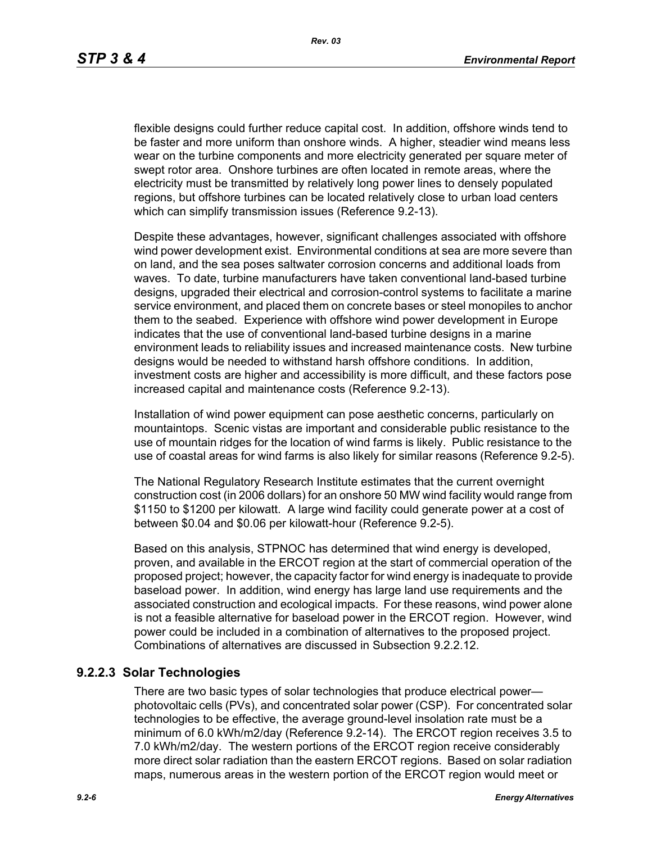flexible designs could further reduce capital cost. In addition, offshore winds tend to be faster and more uniform than onshore winds. A higher, steadier wind means less wear on the turbine components and more electricity generated per square meter of swept rotor area. Onshore turbines are often located in remote areas, where the electricity must be transmitted by relatively long power lines to densely populated regions, but offshore turbines can be located relatively close to urban load centers which can simplify transmission issues (Reference 9.2-13).

[Despite these advantages, however, significant challenges associated with offshore](http://www.nrri.ohio-state.edu/)  [wind power development exist. Environmental conditions at sea are more severe than](http://www.nrri.ohio-state.edu/)  on land, and the sea poses saltwater corrosion concerns and additional loads from waves. To date, turbine manufacturers have taken conventional land-based turbine designs, upgraded their electrical and corrosion-control systems to facilitate a marine service environment, and placed them on concrete bases or steel monopiles to anchor them to the seabed. Experience with offshore wind power development in Europe [indicates that the use of conventional land-based turbine designs in a marine](http://www.nrri.ohio-state.edu/)  [environment leads to reliability issues and increased maintenance costs. New turbine](http://www.nrri.ohio-state.edu/)  designs would be needed to withstand harsh offshore conditions. In addition, investment costs are higher and accessibility is more difficult, and these factors pose increased capital and maintenance costs (Reference 9.2-13).

Installation of wind power equipment can pose aesthetic concerns, particularly on mountaintops. Scenic vistas are important and considerable public resistance to the use of mountain ridges for the location of wind farms is likely. Public resistance to the use of coastal areas for wind farms is also likely for similar reasons (Reference 9.2-5).

The National Regulatory Research Institute estimates that the current overnight construction cost (in 2006 dollars) for an onshore 50 MW wind facility would range from \$1150 to \$1200 per kilowatt. A large wind facility could generate power at a cost of between \$0.04 and \$0.06 per kilowatt-hour (Reference 9.2-5).

Based on this analysis, STPNOC has determined that wind energy is developed, proven, and available in the ERCOT region at the start of commercial operation of the [proposed project; however, the capacity factor for wind energy is inadequate to provide](http://www.infinitepower.org/resgeothermal.htm)  baseload power. In addition, wind energy has large land use requirements and the associated construction and ecological impacts. For these reasons, wind power alone is not a feasible alternative for baseload power in the ERCOT region. However, wind power could be included in a combination of alternatives to the proposed project. Combinations of alternatives are discussed in Subsection 9.2.2.12.

# **9.2.2.3 Solar Technologies**

There are two basic types of solar technologies that produce electrical power photovoltaic cells (PVs), and concentrated solar power (CSP). For concentrated solar technologies to be effective, the average ground-level insolation rate must be a minimum of 6.0 kWh/m2/day (Reference 9.2-14). The ERCOT region receives 3.5 to 7.0 kWh/m2/day. The western portions of the ERCOT region receive considerably more direct solar radiation than the eastern ERCOT regions. Based on solar radiation maps, numerous areas in the western portion of the ERCOT region would meet or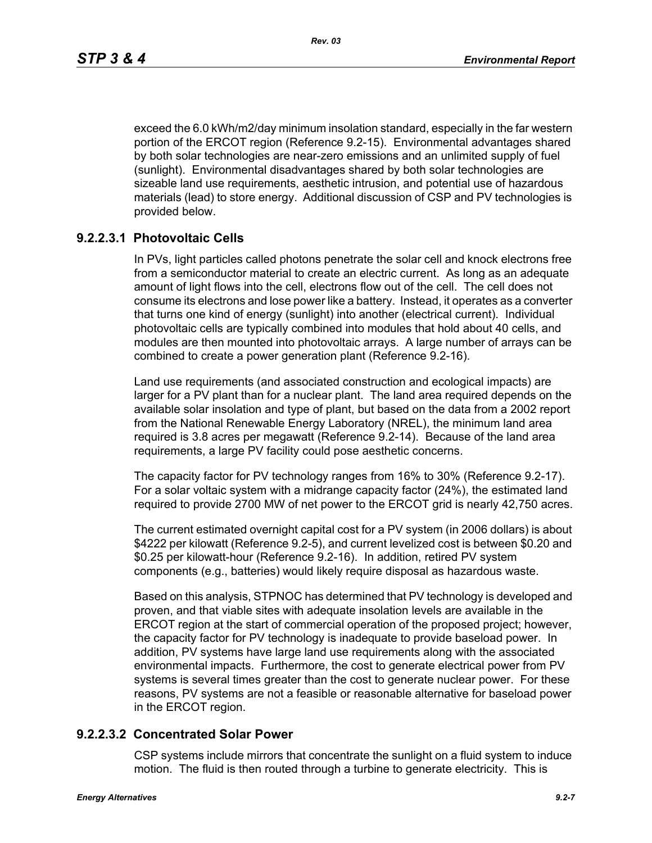exceed the 6.0 kWh/m2/day minimum insolation standard, especially in the far western portion of the ERCOT region (Reference 9.2-15). Environmental advantages shared by both solar technologies are near-zero emissions and an unlimited supply of fuel (sunlight). Environmental disadvantages shared by both solar technologies are sizeable land use requirements, aesthetic intrusion, and potential use of hazardous materials (lead) to store energy. Additional discussion of CSP and PV technologies is provided below.

# **9.2.2.3.1 Photovoltaic Cells**

In PVs, light particles called photons penetrate the solar cell and knock electrons free from a semiconductor material to create an electric current. As long as an adequate amount of light flows into the cell, electrons flow out of the cell. The cell does not consume its electrons and lose power like a battery. Instead, it operates as a converter that turns one kind of energy (sunlight) into another (electrical current). Individual photovoltaic cells are typically combined into modules that hold about 40 cells, and modules are then mounted into photovoltaic arrays. A large number of arrays can be combined to create a power generation plant (Reference 9.2-16).

Land use requirements (and associated construction and ecological impacts) are larger for a PV plant than for a nuclear plant. The land area required depends on the available solar insolation and type of plant, but based on the data from a 2002 report from the National Renewable Energy Laboratory (NREL), the minimum land area required is 3.8 acres per megawatt (Reference 9.2-14). Because of the land area requirements, a large PV facility could pose aesthetic concerns.

The capacity factor for PV technology ranges from 16% to 30% (Reference 9.2-17). For a solar voltaic system with a midrange capacity factor (24%), the estimated land required to provide 2700 MW of net power to the ERCOT grid is nearly 42,750 acres.

The current estimated overnight capital cost for a PV system (in 2006 dollars) is about \$4222 per kilowatt (Reference 9.2-5), and current levelized cost is between \$0.20 and \$0.25 per kilowatt-hour (Reference 9.2-16). In addition, retired PV system components (e.g., batteries) would likely require disposal as hazardous waste.

Based on this analysis, STPNOC has determined that PV technology is developed and proven, and that viable sites with adequate insolation levels are available in the ERCOT region at the start of commercial operation of the proposed project; however, the capacity factor for PV technology is inadequate to provide baseload power. In addition, PV systems have large land use requirements along with the associated environmental impacts. Furthermore, the cost to generate electrical power from PV systems is several times greater than the cost to generate nuclear power. For these reasons, PV systems are not a feasible or reasonable alternative for baseload power in the ERCOT region.

### **9.2.2.3.2 Concentrated Solar Power**

CSP systems include mirrors that concentrate the sunlight on a fluid system to induce motion. The fluid is then routed through a turbine to generate electricity. This is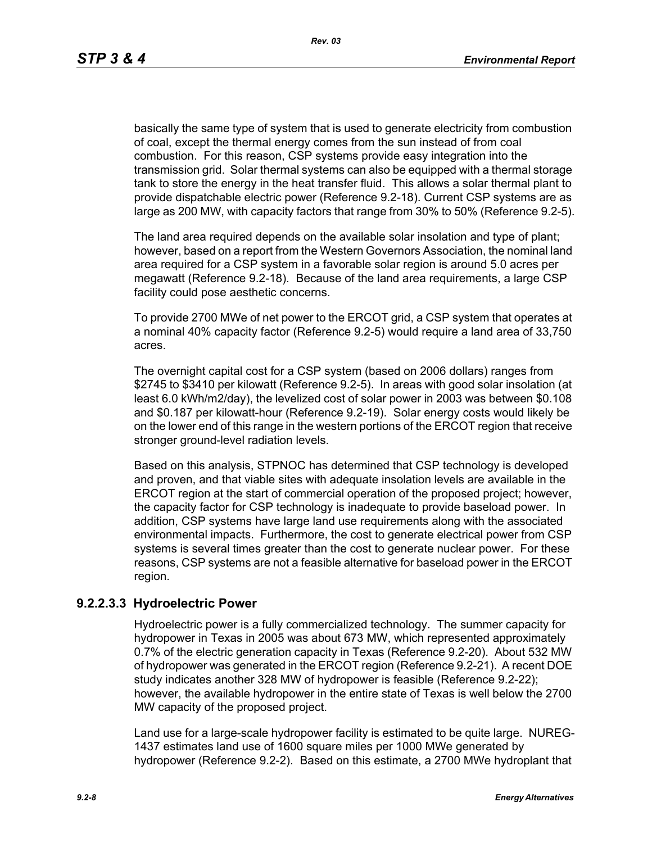basically the same type of system that is used to generate electricity from combustion of coal, except the thermal energy comes from the sun instead of from coal combustion. For this reason, CSP systems provide easy integration into the transmission grid. Solar thermal systems can also be equipped with a thermal storage tank to store the energy in the heat transfer fluid. This allows a solar thermal plant to provide dispatchable electric power (Reference 9.2-18). Current CSP systems are as large as 200 MW, with capacity factors that range from 30% to 50% (Reference 9.2-5).

The land area required depends on the available solar insolation and type of plant; however, based on a report from the Western Governors Association, the nominal land area required for a CSP system in a favorable solar region is around 5.0 acres per megawatt (Reference 9.2-18). Because of the land area requirements, a large CSP facility could pose aesthetic concerns.

To provide 2700 MWe of net power to the ERCOT grid, a CSP system that operates at a nominal 40% capacity factor (Reference 9.2-5) would require a land area of 33,750 acres.

The overnight capital cost for a CSP system (based on 2006 dollars) ranges from \$2745 to \$3410 per kilowatt (Reference 9.2-5). In areas with good solar insolation (at least 6.0 kWh/m2/day), the levelized cost of solar power in 2003 was between \$0.108 and \$0.187 per kilowatt-hour (Reference 9.2-19). Solar energy costs would likely be on the lower end of this range in the western portions of the ERCOT region that receive stronger ground-level radiation levels.

Based on this analysis, STPNOC has determined that CSP technology is developed and proven, and that viable sites with adequate insolation levels are available in the ERCOT region at the start of commercial operation of the proposed project; however, the capacity factor for CSP technology is inadequate to provide baseload power. In addition, CSP systems have large land use requirements along with the associated environmental impacts. Furthermore, the cost to generate electrical power from CSP systems is several times greater than the cost to generate nuclear power. For these reasons, CSP systems are not a feasible alternative for baseload power in the ERCOT region.

### **9.2.2.3.3 Hydroelectric Power**

Hydroelectric power is a fully commercialized technology. The summer capacity for hydropower in Texas in 2005 was about 673 MW, which represented approximately 0.7% of the electric generation capacity in Texas (Reference 9.2-20). About 532 MW of hydropower was generated in the ERCOT region (Reference 9.2-21). A recent DOE study indicates another 328 MW of hydropower is feasible (Reference 9.2-22); however, the available hydropower in the entire state of Texas is well below the 2700 MW capacity of the proposed project.

Land use for a large-scale hydropower facility is estimated to be quite large. NUREG-1437 estimates land use of 1600 square miles per 1000 MWe generated by hydropower (Reference 9.2-2). Based on this estimate, a 2700 MWe hydroplant that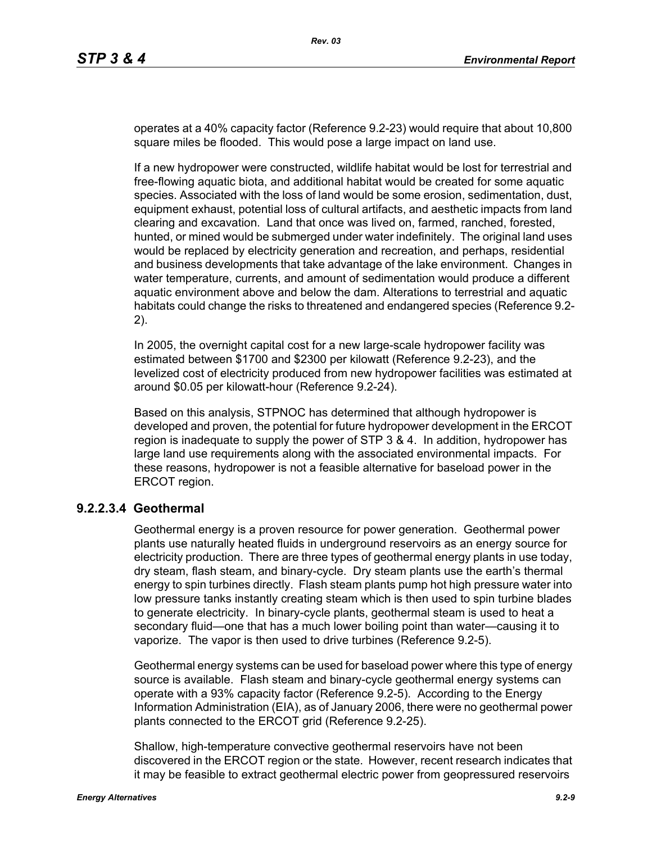operates at a 40% capacity factor (Reference 9.2-23) would require that about 10,800 square miles be flooded. This would pose a large impact on land use.

If a new hydropower were constructed, wildlife habitat would be lost for terrestrial and free-flowing aquatic biota, and additional habitat would be created for some aquatic species. Associated with the loss of land would be some erosion, sedimentation, dust, equipment exhaust, potential loss of cultural artifacts, and aesthetic impacts from land clearing and excavation. Land that once was lived on, farmed, ranched, forested, hunted, or mined would be submerged under water indefinitely. The original land uses would be replaced by electricity generation and recreation, and perhaps, residential and business developments that take advantage of the lake environment. Changes in water temperature, currents, and amount of sedimentation would produce a different aquatic environment above and below the dam. Alterations to terrestrial and aquatic habitats could change the risks to threatened and endangered species (Reference 9.2- 2).

In 2005, the overnight capital cost for a new large-scale hydropower facility was estimated between \$1700 and \$2300 per kilowatt (Reference 9.2-23), and the levelized cost of electricity produced from new hydropower facilities was estimated at around \$0.05 per kilowatt-hour (Reference 9.2-24).

Based on this analysis, STPNOC has determined that although hydropower is developed and proven, the potential for future hydropower development in the ERCOT region is inadequate to supply the power of STP 3 & 4. In addition, hydropower has large land use requirements along with the associated environmental impacts. For these reasons, hydropower is not a feasible alternative for baseload power in the ERCOT region.

### **9.2.2.3.4 Geothermal**

Geothermal energy is a proven resource for power generation. Geothermal power plants use naturally heated fluids in underground reservoirs as an energy source for electricity production. There are three types of geothermal energy plants in use today, dry steam, flash steam, and binary-cycle. Dry steam plants use the earth's thermal energy to spin turbines directly. Flash steam plants pump hot high pressure water into low pressure tanks instantly creating steam which is then used to spin turbine blades to generate electricity. In binary-cycle plants, geothermal steam is used to heat a secondary fluid—one that has a much lower boiling point than water—causing it to vaporize. The vapor is then used to drive turbines (Reference 9.2-5).

Geothermal energy systems can be used for baseload power where this type of energy source is available. Flash steam and binary-cycle geothermal energy systems can operate with a 93% capacity factor (Reference 9.2-5). According to the Energy Information Administration (EIA), as of January 2006, there were no geothermal power plants connected to the ERCOT grid (Reference 9.2-25).

Shallow, high-temperature convective geothermal reservoirs have not been discovered in the ERCOT region or the state. However, recent research indicates that it may be feasible to extract geothermal electric power from geopressured reservoirs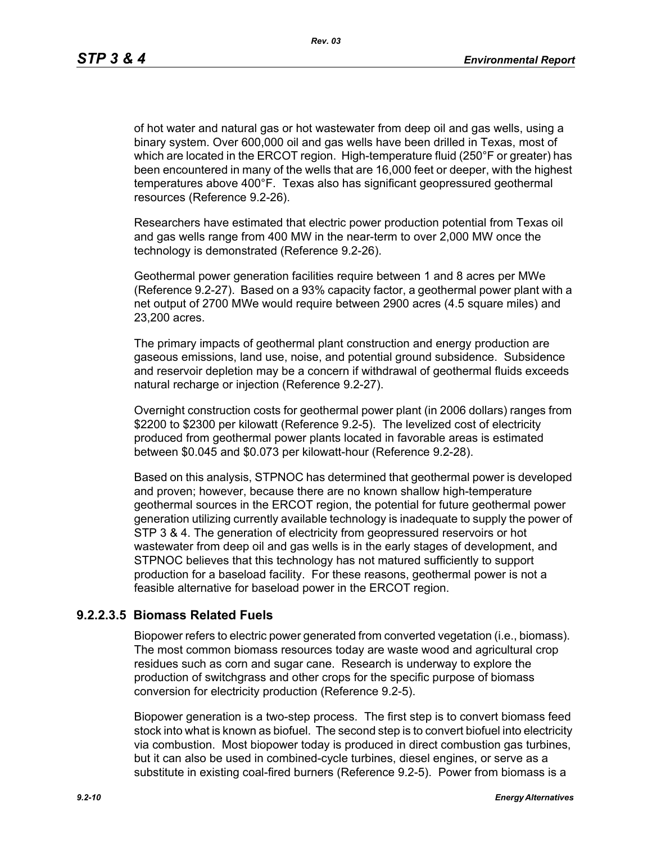of hot water and natural gas or hot wastewater from deep oil and gas wells, using a binary system. Over 600,000 oil and gas wells have been drilled in Texas, most of which are located in the ERCOT region. High-temperature fluid (250°F or greater) has been encountered in many of the wells that are 16,000 feet or deeper, with the highest temperatures above 400°F. Texas also has significant geopressured geothermal resources (Reference 9.2-26).

Researchers have estimated that electric power production potential from Texas oil and gas wells range from 400 MW in the near-term to over 2,000 MW once the technology is demonstrated (Reference 9.2-26).

Geothermal power generation facilities require between 1 and 8 acres per MWe (Reference 9.2-27). Based on a 93% capacity factor, a geothermal power plant with a net output of 2700 MWe would require between 2900 acres (4.5 square miles) and 23,200 acres.

The primary impacts of geothermal plant construction and energy production are gaseous emissions, land use, noise, and potential ground subsidence. Subsidence and reservoir depletion may be a concern if withdrawal of geothermal fluids exceeds natural recharge or injection (Reference 9.2-27).

Overnight construction costs for geothermal power plant (in 2006 dollars) ranges from \$2200 to \$2300 per kilowatt (Reference 9.2-5). The levelized cost of electricity produced from geothermal power plants located in favorable areas is estimated between \$0.045 and \$0.073 per kilowatt-hour (Reference 9.2-28).

Based on this analysis, STPNOC has determined that geothermal power is developed and proven; however, because there are no known shallow high-temperature geothermal sources in the ERCOT region, the potential for future geothermal power generation utilizing currently available technology is inadequate to supply the power of STP 3 & 4. The generation of electricity from geopressured reservoirs or hot wastewater from deep oil and gas wells is in the early stages of development, and STPNOC believes that this technology has not matured sufficiently to support production for a baseload facility. For these reasons, geothermal power is not a feasible alternative for baseload power in the ERCOT region.

# **9.2.2.3.5 Biomass Related Fuels**

Biopower refers to electric power generated from converted vegetation (i.e., biomass). The most common biomass resources today are waste wood and agricultural crop residues such as corn and sugar cane. Research is underway to explore the production of switchgrass and other crops for the specific purpose of biomass conversion for electricity production (Reference 9.2-5).

Biopower generation is a two-step process. The first step is to convert biomass feed stock into what is known as biofuel. The second step is to convert biofuel into electricity via combustion. Most biopower today is produced in direct combustion gas turbines, but it can also be used in combined-cycle turbines, diesel engines, or serve as a substitute in existing coal-fired burners (Reference 9.2-5). Power from biomass is a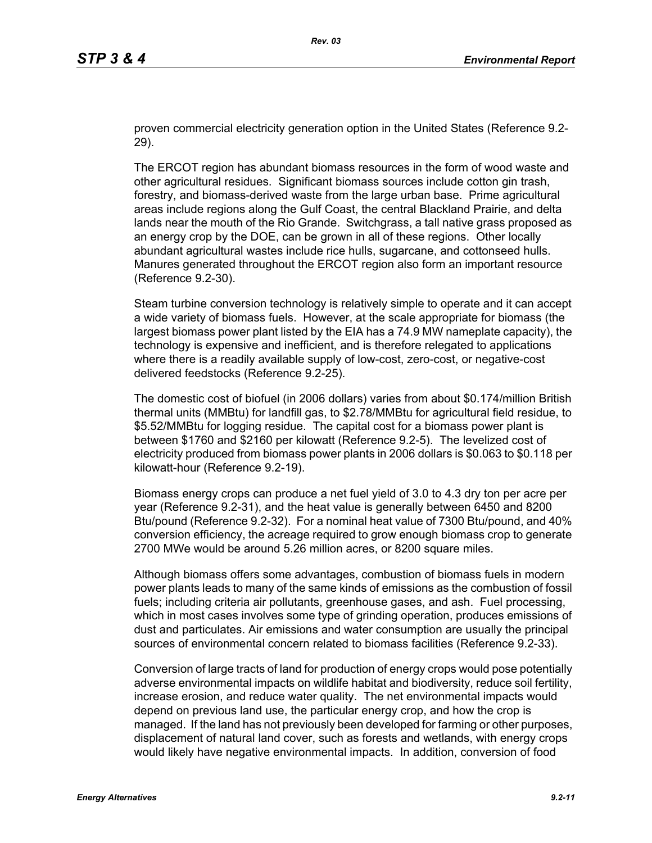proven commercial electricity generation option in the United States (Reference 9.2- 29).

The ERCOT region has abundant biomass resources in the form of wood waste and other agricultural residues. Significant biomass sources include cotton gin trash, forestry, and biomass-derived waste from the large urban base. Prime agricultural areas include regions along the Gulf Coast, the central Blackland Prairie, and delta lands near the mouth of the Rio Grande. Switchgrass, a tall native grass proposed as an energy crop by the DOE, can be grown in all of these regions. Other locally abundant agricultural wastes include rice hulls, sugarcane, and cottonseed hulls. Manures generated throughout the ERCOT region also form an important resource (Reference 9.2-30).

Steam turbine conversion technology is relatively simple to operate and it can accept a wide variety of biomass fuels. However, at the scale appropriate for biomass (the largest biomass power plant listed by the EIA has a 74.9 MW nameplate capacity), the technology is expensive and inefficient, and is therefore relegated to applications where there is a readily available supply of low-cost, zero-cost, or negative-cost delivered feedstocks (Reference 9.2-25).

The domestic cost of biofuel (in 2006 dollars) varies from about \$0.174/million British thermal units (MMBtu) for landfill gas, to \$2.78/MMBtu for agricultural field residue, to \$5.52/MMBtu for logging residue. The capital cost for a biomass power plant is between \$1760 and \$2160 per kilowatt (Reference 9.2-5). The levelized cost of electricity produced from biomass power plants in 2006 dollars is \$0.063 to \$0.118 per kilowatt-hour (Reference 9.2-19).

Biomass energy crops can produce a net fuel yield of 3.0 to 4.3 dry ton per acre per year (Reference 9.2-31), and the heat value is generally between 6450 and 8200 Btu/pound (Reference 9.2-32). For a nominal heat value of 7300 Btu/pound, and 40% conversion efficiency, the acreage required to grow enough biomass crop to generate 2700 MWe would be around 5.26 million acres, or 8200 square miles.

Although biomass offers some advantages, combustion of biomass fuels in modern power plants leads to many of the same kinds of emissions as the combustion of fossil fuels; including criteria air pollutants, greenhouse gases, and ash. Fuel processing, which in most cases involves some type of grinding operation, produces emissions of dust and particulates. Air emissions and water consumption are usually the principal sources of environmental concern related to biomass facilities (Reference 9.2-33).

Conversion of large tracts of land for production of energy crops would pose potentially adverse environmental impacts on wildlife habitat and biodiversity, reduce soil fertility, increase erosion, and reduce water quality. The net environmental impacts would depend on previous land use, the particular energy crop, and how the crop is managed. If the land has not previously been developed for farming or other purposes, displacement of natural land cover, such as forests and wetlands, with energy crops would likely have negative environmental impacts. In addition, conversion of food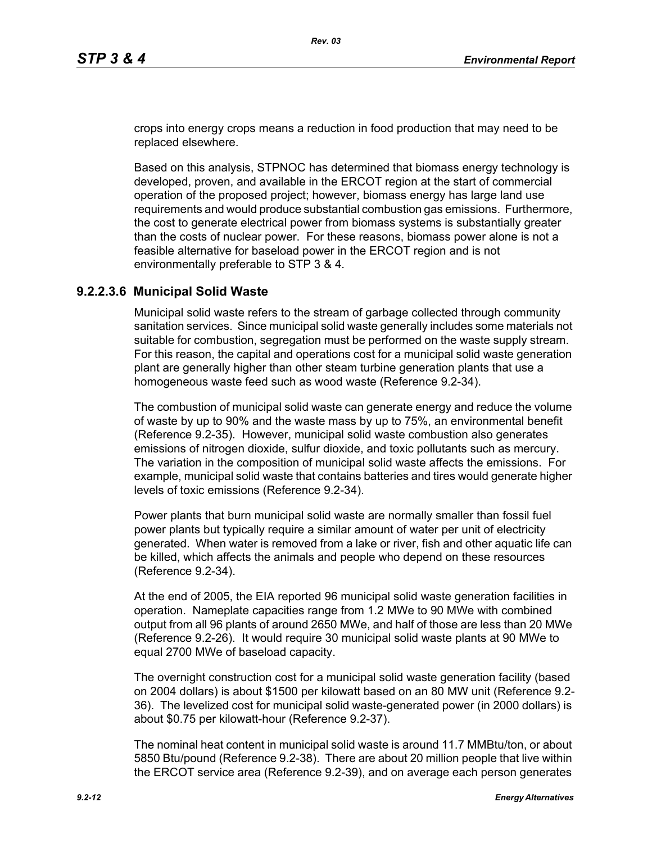crops into energy crops means a reduction in food production that may need to be replaced elsewhere.

Based on this analysis, STPNOC has determined that biomass energy technology is developed, proven, and available in the ERCOT region at the start of commercial operation of the proposed project; however, biomass energy has large land use requirements and would produce substantial combustion gas emissions. Furthermore, the cost to generate electrical power from biomass systems is substantially greater than the costs of nuclear power. For these reasons, biomass power alone is not a feasible alternative for baseload power in the ERCOT region and is not environmentally preferable to STP 3 & 4.

### **9.2.2.3.6 Municipal Solid Waste**

Municipal solid waste refers to the stream of garbage collected through community sanitation services. Since municipal solid waste generally includes some materials not suitable for combustion, segregation must be performed on the waste supply stream. For this reason, the capital and operations cost for a municipal solid waste generation plant are generally higher than other steam turbine generation plants that use a homogeneous waste feed such as wood waste (Reference 9.2-34).

The combustion of municipal solid waste can generate energy and reduce the volume of waste by up to 90% and the waste mass by up to 75%, an environmental benefit (Reference 9.2-35). However, municipal solid waste combustion also generates emissions of nitrogen dioxide, sulfur dioxide, and toxic pollutants such as mercury. The variation in the composition of municipal solid waste affects the emissions. For example, municipal solid waste that contains batteries and tires would generate higher levels of toxic emissions (Reference 9.2-34).

Power plants that burn municipal solid waste are normally smaller than fossil fuel power plants but typically require a similar amount of water per unit of electricity generated. When water is removed from a lake or river, fish and other aquatic life can be killed, which affects the animals and people who depend on these resources (Reference 9.2-34).

At the end of 2005, the EIA reported 96 municipal solid waste generation facilities in operation. Nameplate capacities range from 1.2 MWe to 90 MWe with combined output from all 96 plants of around 2650 MWe, and half of those are less than 20 MWe (Reference 9.2-26). It would require 30 municipal solid waste plants at 90 MWe to equal 2700 MWe of baseload capacity.

The overnight construction cost for a municipal solid waste generation facility (based on 2004 dollars) is about \$1500 per kilowatt based on an 80 MW unit (Reference 9.2- 36). The levelized cost for municipal solid waste-generated power (in 2000 dollars) is about \$0.75 per kilowatt-hour (Reference 9.2-37).

The nominal heat content in municipal solid waste is around 11.7 MMBtu/ton, or about 5850 Btu/pound (Reference 9.2-38). There are about 20 million people that live within the ERCOT service area (Reference 9.2-39), and on average each person generates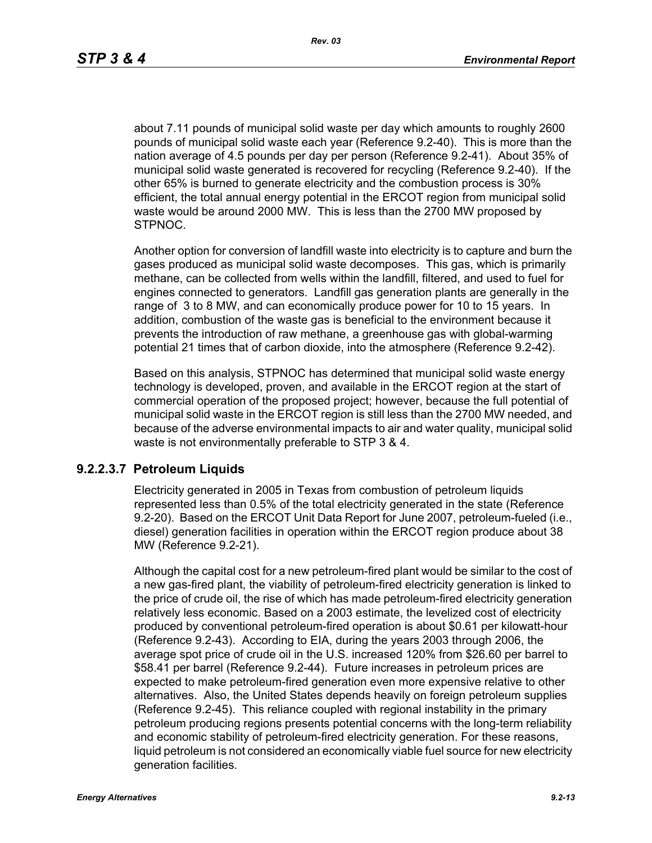about 7.11 pounds of municipal solid waste per day which amounts to roughly 2600 pounds of municipal solid waste each year (Reference 9.2-40). This is more than the nation average of 4.5 pounds per day per person (Reference 9.2-41). About 35% of municipal solid waste generated is recovered for recycling (Reference 9.2-40). If the other 65% is burned to generate electricity and the combustion process is 30% efficient, the total annual energy potential in the ERCOT region from municipal solid waste would be around 2000 MW. This is less than the 2700 MW proposed by STPNOC.

Another option for conversion of landfill waste into electricity is to capture and burn the gases produced as municipal solid waste decomposes. This gas, which is primarily methane, can be collected from wells within the landfill, filtered, and used to fuel for engines connected to generators. Landfill gas generation plants are generally in the range of 3 to 8 MW, and can economically produce power for 10 to 15 years. In addition, combustion of the waste gas is beneficial to the environment because it prevents the introduction of raw methane, a greenhouse gas with global-warming potential 21 times that of carbon dioxide, into the atmosphere (Reference 9.2-42).

Based on this analysis, STPNOC has determined that municipal solid waste energy technology is developed, proven, and available in the ERCOT region at the start of commercial operation of the proposed project; however, because the full potential of municipal solid waste in the ERCOT region is still less than the 2700 MW needed, and because of the adverse environmental impacts to air and water quality, municipal solid waste is not environmentally preferable to STP 3 & 4.

#### **9.2.2.3.7 Petroleum Liquids**

Electricity generated in 2005 in Texas from combustion of petroleum liquids represented less than 0.5% of the total electricity generated in the state (Reference 9.2-20). Based on the ERCOT Unit Data Report for June 2007, petroleum-fueled (i.e., diesel) generation facilities in operation within the ERCOT region produce about 38 MW (Reference 9.2-21).

Although the capital cost for a new petroleum-fired plant would be similar to the cost of a new gas-fired plant, the viability of petroleum-fired electricity generation is linked to the price of crude oil, the rise of which has made petroleum-fired electricity generation relatively less economic. Based on a 2003 estimate, the levelized cost of electricity produced by conventional petroleum-fired operation is about \$0.61 per kilowatt-hour (Reference 9.2-43). According to EIA, during the years 2003 through 2006, the average spot price of crude oil in the U.S. increased 120% from \$26.60 per barrel to \$58.41 per barrel (Reference 9.2-44). Future increases in petroleum prices are expected to make petroleum-fired generation even more expensive relative to other alternatives. Also, the United States depends heavily on foreign petroleum supplies (Reference 9.2-45). This reliance coupled with regional instability in the primary petroleum producing regions presents potential concerns with the long-term reliability and economic stability of petroleum-fired electricity generation. For these reasons, liquid petroleum is not considered an economically viable fuel source for new electricity generation facilities.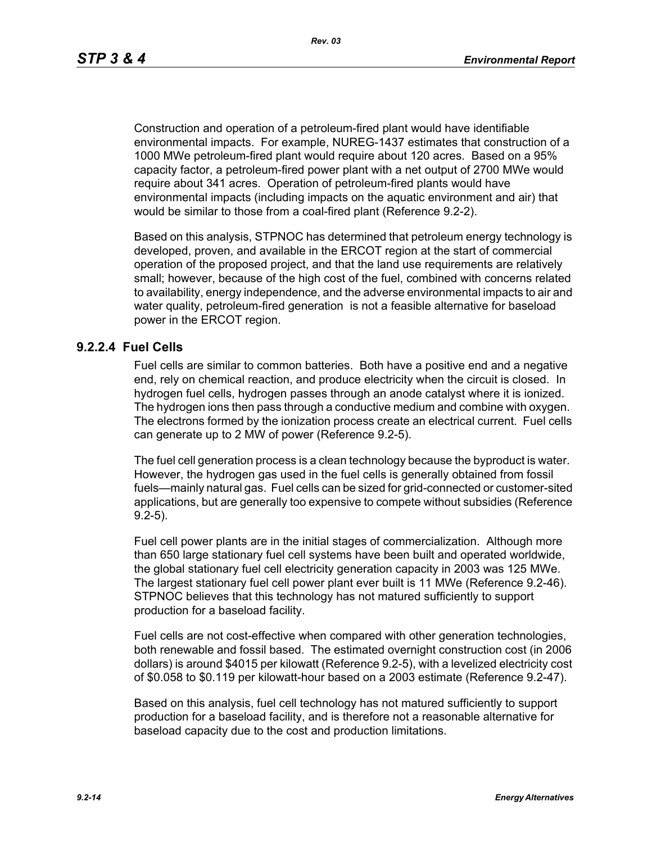Construction and operation of a petroleum-fired plant would have identifiable environmental impacts. For example, NUREG-1437 estimates that construction of a 1000 MWe petroleum-fired plant would require about 120 acres. Based on a 95% capacity factor, a petroleum-fired power plant with a net output of 2700 MWe would require about 341 acres. Operation of petroleum-fired plants would have environmental impacts (including impacts on the aquatic environment and air) that would be similar to those from a coal-fired plant (Reference 9.2-2).

Based on this analysis, STPNOC has determined that petroleum energy technology is developed, proven, and available in the ERCOT region at the start of commercial operation of the proposed project, and that the land use requirements are relatively small; however, because of the high cost of the fuel, combined with concerns related to availability, energy independence, and the adverse environmental impacts to air and water quality, petroleum-fired generation is not a feasible alternative for baseload power in the ERCOT region.

#### **9.2.2.4 Fuel Cells**

Fuel cells are similar to common batteries. Both have a positive end and a negative end, rely on chemical reaction, and produce electricity when the circuit is closed. In hydrogen fuel cells, hydrogen passes through an anode catalyst where it is ionized. The hydrogen ions then pass through a conductive medium and combine with oxygen. The electrons formed by the ionization process create an electrical current. Fuel cells can generate up to 2 MW of power (Reference 9.2-5).

The fuel cell generation process is a clean technology because the byproduct is water. However, the hydrogen gas used in the fuel cells is generally obtained from fossil fuels—mainly natural gas. Fuel cells can be sized for grid-connected or customer-sited applications, but are generally too expensive to compete without subsidies (Reference 9.2-5).

Fuel cell power plants are in the initial stages of commercialization. Although more than 650 large stationary fuel cell systems have been built and operated worldwide, the global stationary fuel cell electricity generation capacity in 2003 was 125 MWe. The largest stationary fuel cell power plant ever built is 11 MWe (Reference 9.2-46). STPNOC believes that this technology has not matured sufficiently to support production for a baseload facility.

Fuel cells are not cost-effective when compared with other generation technologies, both renewable and fossil based. The estimated overnight construction cost (in 2006 dollars) is around \$4015 per kilowatt (Reference 9.2-5), with a levelized electricity cost of \$0.058 to \$0.119 per kilowatt-hour based on a 2003 estimate (Reference 9.2-47).

Based on this analysis, fuel cell technology has not matured sufficiently to support production for a baseload facility, and is therefore not a reasonable alternative for baseload capacity due to the cost and production limitations.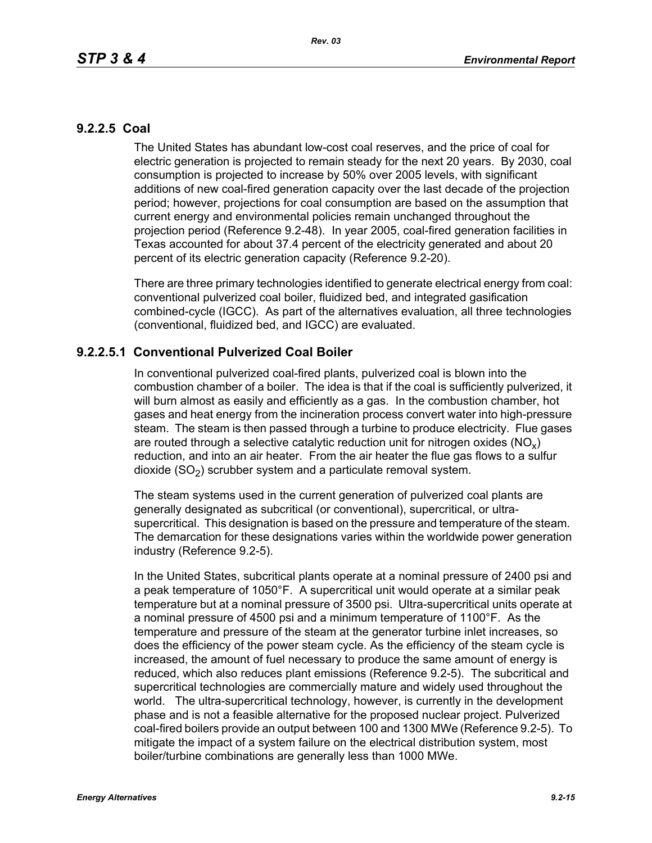# **9.2.2.5 Coal**

The United States has abundant low-cost coal reserves, and the price of coal for electric generation is projected to remain steady for the next 20 years. By 2030, coal consumption is projected to increase by 50% over 2005 levels, with significant additions of new coal-fired generation capacity over the last decade of the projection period; however, projections for coal consumption are based on the assumption that current energy and environmental policies remain unchanged throughout the projection period (Reference 9.2-48). In year 2005, coal-fired generation facilities in Texas accounted for about 37.4 percent of the electricity generated and about 20 percent of its electric generation capacity (Reference 9.2-20).

There are three primary technologies identified to generate electrical energy from coal: conventional pulverized coal boiler, fluidized bed, and integrated gasification combined-cycle (IGCC). As part of the alternatives evaluation, all three technologies (conventional, fluidized bed, and IGCC) are evaluated.

# **9.2.2.5.1 Conventional Pulverized Coal Boiler**

In conventional pulverized coal-fired plants, pulverized coal is blown into the combustion chamber of a boiler. The idea is that if the coal is sufficiently pulverized, it will burn almost as easily and efficiently as a gas. In the combustion chamber, hot gases and heat energy from the incineration process convert water into high-pressure steam. The steam is then passed through a turbine to produce electricity. Flue gases are routed through a selective catalytic reduction unit for nitrogen oxides ( $NO<sub>v</sub>$ ) reduction, and into an air heater. From the air heater the flue gas flows to a sulfur dioxide  $(SO<sub>2</sub>)$  scrubber system and a particulate removal system.

The steam systems used in the current generation of pulverized coal plants are generally designated as subcritical (or conventional), supercritical, or ultrasupercritical. This designation is based on the pressure and temperature of the steam. The demarcation for these designations varies within the worldwide power generation industry (Reference 9.2-5).

In the United States, subcritical plants operate at a nominal pressure of 2400 psi and a peak temperature of 1050°F. A supercritical unit would operate at a similar peak temperature but at a nominal pressure of 3500 psi. Ultra-supercritical units operate at a nominal pressure of 4500 psi and a minimum temperature of 1100°F. As the temperature and pressure of the steam at the generator turbine inlet increases, so does the efficiency of the power steam cycle. As the efficiency of the steam cycle is increased, the amount of fuel necessary to produce the same amount of energy is reduced, which also reduces plant emissions (Reference 9.2-5). The subcritical and supercritical technologies are commercially mature and widely used throughout the world. The ultra-supercritical technology, however, is currently in the development phase and is not a feasible alternative for the proposed nuclear project. Pulverized coal-fired boilers provide an output between 100 and 1300 MWe (Reference 9.2-5). To mitigate the impact of a system failure on the electrical distribution system, most boiler/turbine combinations are generally less than 1000 MWe.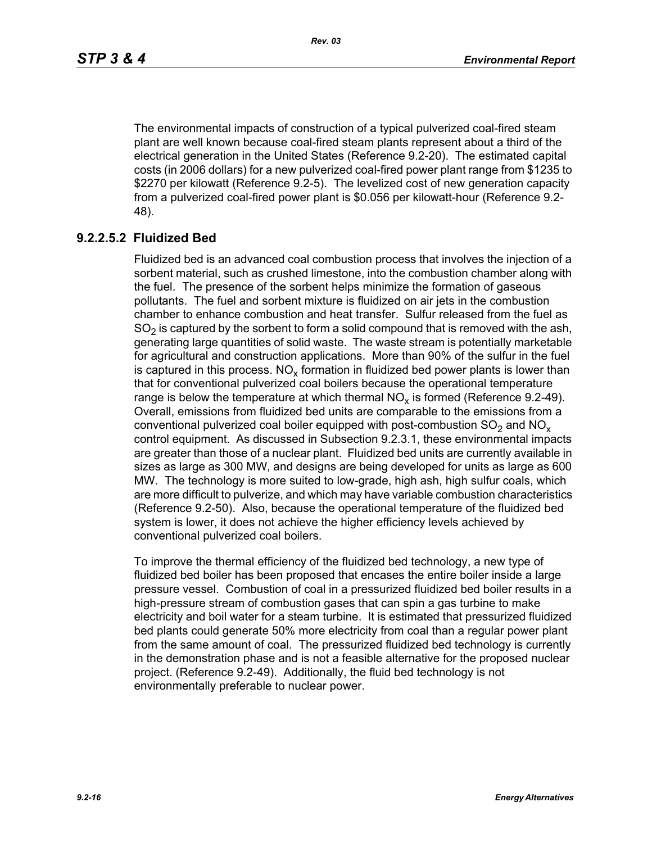The environmental impacts of construction of a typical pulverized coal-fired steam plant are well known because coal-fired steam plants represent about a third of the electrical generation in the United States (Reference 9.2-20). The estimated capital costs (in 2006 dollars) for a new pulverized coal-fired power plant range from \$1235 to \$2270 per kilowatt (Reference 9.2-5). The levelized cost of new generation capacity from a pulverized coal-fired power plant is \$0.056 per kilowatt-hour (Reference 9.2- 48).

# **9.2.2.5.2 Fluidized Bed**

Fluidized bed is an advanced coal combustion process that involves the injection of a sorbent material, such as crushed limestone, into the combustion chamber along with the fuel. The presence of the sorbent helps minimize the formation of gaseous pollutants. The fuel and sorbent mixture is fluidized on air jets in the combustion chamber to enhance combustion and heat transfer. Sulfur released from the fuel as  $SO<sub>2</sub>$  is captured by the sorbent to form a solid compound that is removed with the ash, generating large quantities of solid waste. The waste stream is potentially marketable for agricultural and construction applications. More than 90% of the sulfur in the fuel is captured in this process.  $NO_{v}$  formation in fluidized bed power plants is lower than that for conventional pulverized coal boilers because the operational temperature range is below the temperature at which thermal  $NO<sub>x</sub>$  is formed (Reference 9.2-49). Overall, emissions from fluidized bed units are comparable to the emissions from a conventional pulverized coal boiler equipped with post-combustion  $SO<sub>2</sub>$  and  $NO<sub>x</sub>$ control equipment. As discussed in Subsection 9.2.3.1, these environmental impacts are greater than those of a nuclear plant. Fluidized bed units are currently available in sizes as large as 300 MW, and designs are being developed for units as large as 600 MW. The technology is more suited to low-grade, high ash, high sulfur coals, which are more difficult to pulverize, and which may have variable combustion characteristics (Reference 9.2-50). Also, because the operational temperature of the fluidized bed system is lower, it does not achieve the higher efficiency levels achieved by conventional pulverized coal boilers.

To improve the thermal efficiency of the fluidized bed technology, a new type of fluidized bed boiler has been proposed that encases the entire boiler inside a large pressure vessel. Combustion of coal in a pressurized fluidized bed boiler results in a high-pressure stream of combustion gases that can spin a gas turbine to make electricity and boil water for a steam turbine. It is estimated that pressurized fluidized bed plants could generate 50% more electricity from coal than a regular power plant from the same amount of coal. The pressurized fluidized bed technology is currently in the demonstration phase and is not a feasible alternative for the proposed nuclear project. (Reference 9.2-49). Additionally, the fluid bed technology is not environmentally preferable to nuclear power.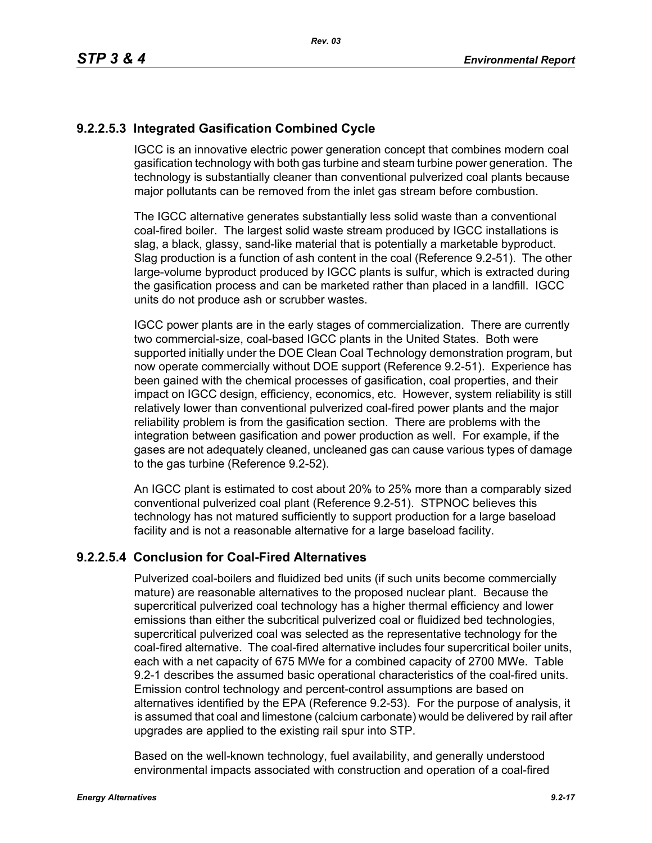# **9.2.2.5.3 Integrated Gasification Combined Cycle**

IGCC is an innovative electric power generation concept that combines modern coal gasification technology with both gas turbine and steam turbine power generation. The technology is substantially cleaner than conventional pulverized coal plants because major pollutants can be removed from the inlet gas stream before combustion.

The IGCC alternative generates substantially less solid waste than a conventional coal-fired boiler. The largest solid waste stream produced by IGCC installations is slag, a black, glassy, sand-like material that is potentially a marketable byproduct. Slag production is a function of ash content in the coal (Reference 9.2-51). The other large-volume byproduct produced by IGCC plants is sulfur, which is extracted during the gasification process and can be marketed rather than placed in a landfill. IGCC units do not produce ash or scrubber wastes.

IGCC power plants are in the early stages of commercialization. There are currently two commercial-size, coal-based IGCC plants in the United States. Both were supported initially under the DOE Clean Coal Technology demonstration program, but now operate commercially without DOE support (Reference 9.2-51). Experience has been gained with the chemical processes of gasification, coal properties, and their impact on IGCC design, efficiency, economics, etc. However, system reliability is still relatively lower than conventional pulverized coal-fired power plants and the major reliability problem is from the gasification section. There are problems with the integration between gasification and power production as well. For example, if the gases are not adequately cleaned, uncleaned gas can cause various types of damage to the gas turbine (Reference 9.2-52).

An IGCC plant is estimated to cost about 20% to 25% more than a comparably sized conventional pulverized coal plant (Reference 9.2-51). STPNOC believes this technology has not matured sufficiently to support production for a large baseload facility and is not a reasonable alternative for a large baseload facility.

# **9.2.2.5.4 Conclusion for Coal-Fired Alternatives**

Pulverized coal-boilers and fluidized bed units (if such units become commercially mature) are reasonable alternatives to the proposed nuclear plant. Because the supercritical pulverized coal technology has a higher thermal efficiency and lower emissions than either the subcritical pulverized coal or fluidized bed technologies, supercritical pulverized coal was selected as the representative technology for the coal-fired alternative. The coal-fired alternative includes four supercritical boiler units, each with a net capacity of 675 MWe for a combined capacity of 2700 MWe. Table 9.2-1 describes the assumed basic operational characteristics of the coal-fired units. Emission control technology and percent-control assumptions are based on alternatives identified by the EPA (Reference 9.2-53). For the purpose of analysis, it is assumed that coal and limestone (calcium carbonate) would be delivered by rail after upgrades are applied to the existing rail spur into STP.

Based on the well-known technology, fuel availability, and generally understood environmental impacts associated with construction and operation of a coal-fired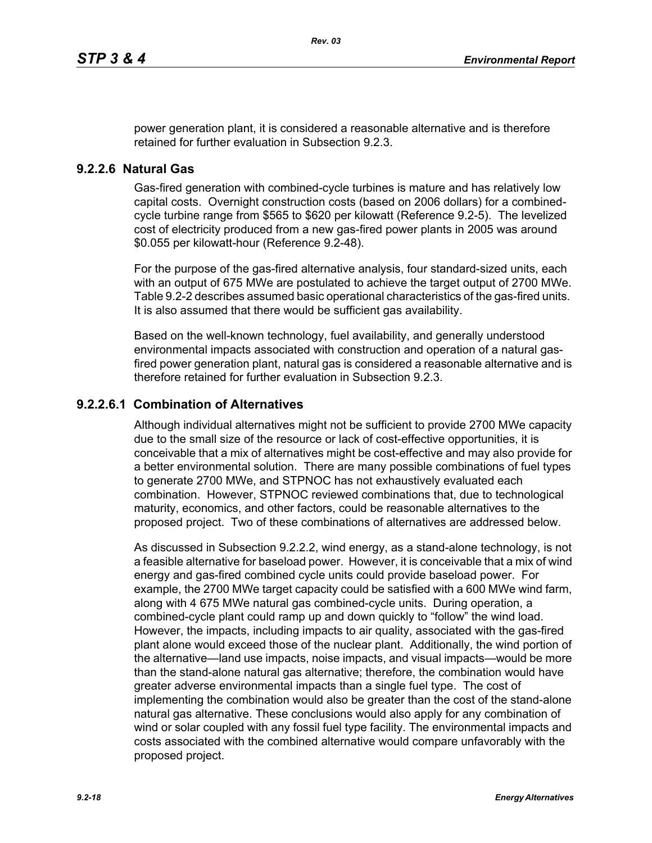power generation plant, it is considered a reasonable alternative and is therefore retained for further evaluation in Subsection 9.2.3.

### **9.2.2.6 Natural Gas**

Gas-fired generation with combined-cycle turbines is mature and has relatively low capital costs. Overnight construction costs (based on 2006 dollars) for a combinedcycle turbine range from \$565 to \$620 per kilowatt (Reference 9.2-5). The levelized cost of electricity produced from a new gas-fired power plants in 2005 was around \$0.055 per kilowatt-hour (Reference 9.2-48).

For the purpose of the gas-fired alternative analysis, four standard-sized units, each with an output of 675 MWe are postulated to achieve the target output of 2700 MWe. Table 9.2-2 describes assumed basic operational characteristics of the gas-fired units. It is also assumed that there would be sufficient gas availability.

Based on the well-known technology, fuel availability, and generally understood environmental impacts associated with construction and operation of a natural gasfired power generation plant, natural gas is considered a reasonable alternative and is therefore retained for further evaluation in Subsection 9.2.3.

### **9.2.2.6.1 Combination of Alternatives**

Although individual alternatives might not be sufficient to provide 2700 MWe capacity due to the small size of the resource or lack of cost-effective opportunities, it is conceivable that a mix of alternatives might be cost-effective and may also provide for a better environmental solution. There are many possible combinations of fuel types to generate 2700 MWe, and STPNOC has not exhaustively evaluated each combination. However, STPNOC reviewed combinations that, due to technological maturity, economics, and other factors, could be reasonable alternatives to the proposed project. Two of these combinations of alternatives are addressed below.

As discussed in Subsection 9.2.2.2, wind energy, as a stand-alone technology, is not a feasible alternative for baseload power. However, it is conceivable that a mix of wind energy and gas-fired combined cycle units could provide baseload power. For example, the 2700 MWe target capacity could be satisfied with a 600 MWe wind farm, along with 4 675 MWe natural gas combined-cycle units. During operation, a combined-cycle plant could ramp up and down quickly to "follow" the wind load. However, the impacts, including impacts to air quality, associated with the gas-fired plant alone would exceed those of the nuclear plant. Additionally, the wind portion of the alternative—land use impacts, noise impacts, and visual impacts—would be more than the stand-alone natural gas alternative; therefore, the combination would have greater adverse environmental impacts than a single fuel type. The cost of implementing the combination would also be greater than the cost of the stand-alone natural gas alternative. These conclusions would also apply for any combination of wind or solar coupled with any fossil fuel type facility. The environmental impacts and costs associated with the combined alternative would compare unfavorably with the proposed project.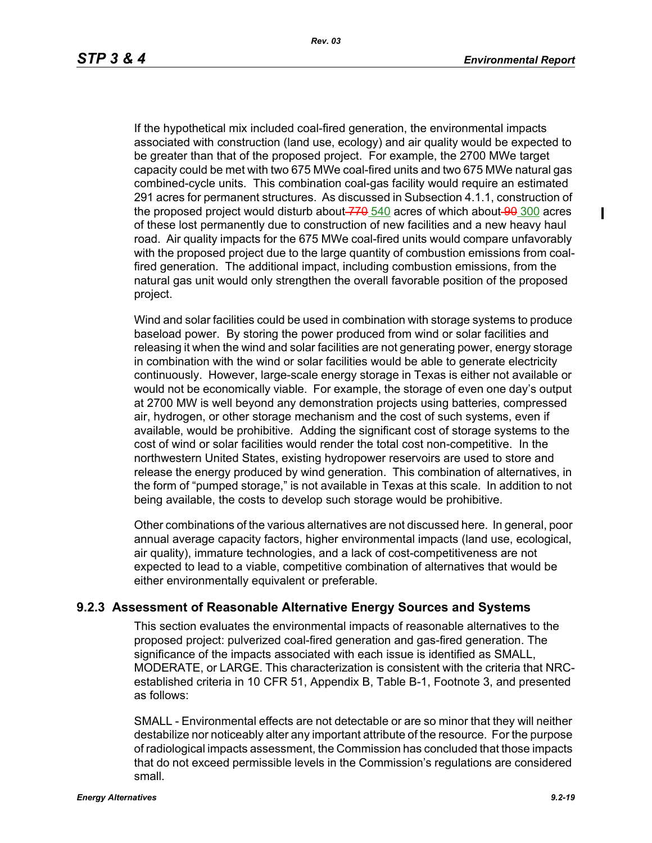If the hypothetical mix included coal-fired generation, the environmental impacts associated with construction (land use, ecology) and air quality would be expected to be greater than that of the proposed project. For example, the 2700 MWe target capacity could be met with two 675 MWe coal-fired units and two 675 MWe natural gas combined-cycle units. This combination coal-gas facility would require an estimated 291 acres for permanent structures. As discussed in Subsection 4.1.1, construction of the proposed project would disturb about $-770$   $540$  acres of which about $-90$   $300$  acres of these lost permanently due to construction of new facilities and a new heavy haul road. Air quality impacts for the 675 MWe coal-fired units would compare unfavorably with the proposed project due to the large quantity of combustion emissions from coalfired generation. The additional impact, including combustion emissions, from the natural gas unit would only strengthen the overall favorable position of the proposed project.

Wind and solar facilities could be used in combination with storage systems to produce baseload power. By storing the power produced from wind or solar facilities and releasing it when the wind and solar facilities are not generating power, energy storage in combination with the wind or solar facilities would be able to generate electricity continuously. However, large-scale energy storage in Texas is either not available or would not be economically viable. For example, the storage of even one day's output at 2700 MW is well beyond any demonstration projects using batteries, compressed air, hydrogen, or other storage mechanism and the cost of such systems, even if available, would be prohibitive. Adding the significant cost of storage systems to the cost of wind or solar facilities would render the total cost non-competitive. In the northwestern United States, existing hydropower reservoirs are used to store and release the energy produced by wind generation. This combination of alternatives, in the form of "pumped storage," is not available in Texas at this scale. In addition to not being available, the costs to develop such storage would be prohibitive.

Other combinations of the various alternatives are not discussed here. In general, poor annual average capacity factors, higher environmental impacts (land use, ecological, air quality), immature technologies, and a lack of cost-competitiveness are not expected to lead to a viable, competitive combination of alternatives that would be either environmentally equivalent or preferable.

# **9.2.3 Assessment of Reasonable Alternative Energy Sources and Systems**

This section evaluates the environmental impacts of reasonable alternatives to the proposed project: pulverized coal-fired generation and gas-fired generation. The significance of the impacts associated with each issue is identified as SMALL, MODERATE, or LARGE. This characterization is consistent with the criteria that NRCestablished criteria in 10 CFR 51, Appendix B, Table B-1, Footnote 3, and presented as follows:

SMALL - Environmental effects are not detectable or are so minor that they will neither destabilize nor noticeably alter any important attribute of the resource. For the purpose of radiological impacts assessment, the Commission has concluded that those impacts that do not exceed permissible levels in the Commission's regulations are considered small.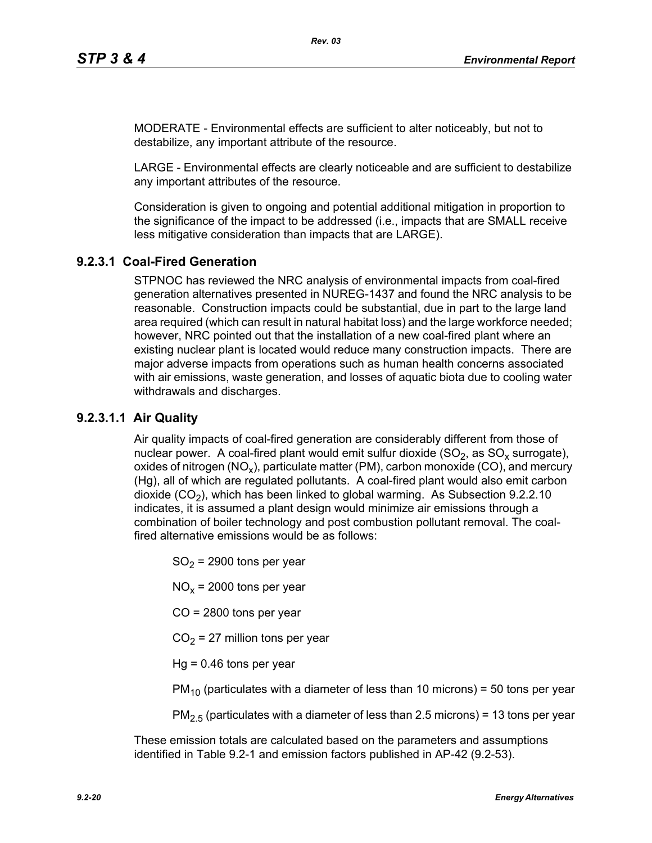MODERATE - Environmental effects are sufficient to alter noticeably, but not to destabilize, any important attribute of the resource.

LARGE - Environmental effects are clearly noticeable and are sufficient to destabilize any important attributes of the resource.

Consideration is given to ongoing and potential additional mitigation in proportion to the significance of the impact to be addressed (i.e., impacts that are SMALL receive less mitigative consideration than impacts that are LARGE).

# **9.2.3.1 Coal-Fired Generation**

STPNOC has reviewed the NRC analysis of environmental impacts from coal-fired generation alternatives presented in NUREG-1437 and found the NRC analysis to be reasonable. Construction impacts could be substantial, due in part to the large land area required (which can result in natural habitat loss) and the large workforce needed; however, NRC pointed out that the installation of a new coal-fired plant where an existing nuclear plant is located would reduce many construction impacts. There are major adverse impacts from operations such as human health concerns associated with air emissions, waste generation, and losses of aquatic biota due to cooling water withdrawals and discharges.

# **9.2.3.1.1 Air Quality**

Air quality impacts of coal-fired generation are considerably different from those of nuclear power. A coal-fired plant would emit sulfur dioxide  $(SO<sub>2</sub>)$ , as  $SO<sub>x</sub>$  surrogate), oxides of nitrogen (NO<sub>x</sub>), particulate matter (PM), carbon monoxide (CO), and mercury (Hg), all of which are regulated pollutants. A coal-fired plant would also emit carbon dioxide  $(CO<sub>2</sub>)$ , which has been linked to global warming. As Subsection 9.2.2.10 indicates, it is assumed a plant design would minimize air emissions through a combination of boiler technology and post combustion pollutant removal. The coalfired alternative emissions would be as follows:

 $SO<sub>2</sub>$  = 2900 tons per year

 $NO<sub>x</sub>$  = 2000 tons per year

CO = 2800 tons per year

 $CO<sub>2</sub> = 27$  million tons per year

 $Hq = 0.46$  tons per year

 $PM_{10}$  (particulates with a diameter of less than 10 microns) = 50 tons per year

 $PM<sub>2.5</sub>$  (particulates with a diameter of less than 2.5 microns) = 13 tons per year

These emission totals are calculated based on the parameters and assumptions identified in Table 9.2-1 and emission factors published in AP-42 (9.2-53).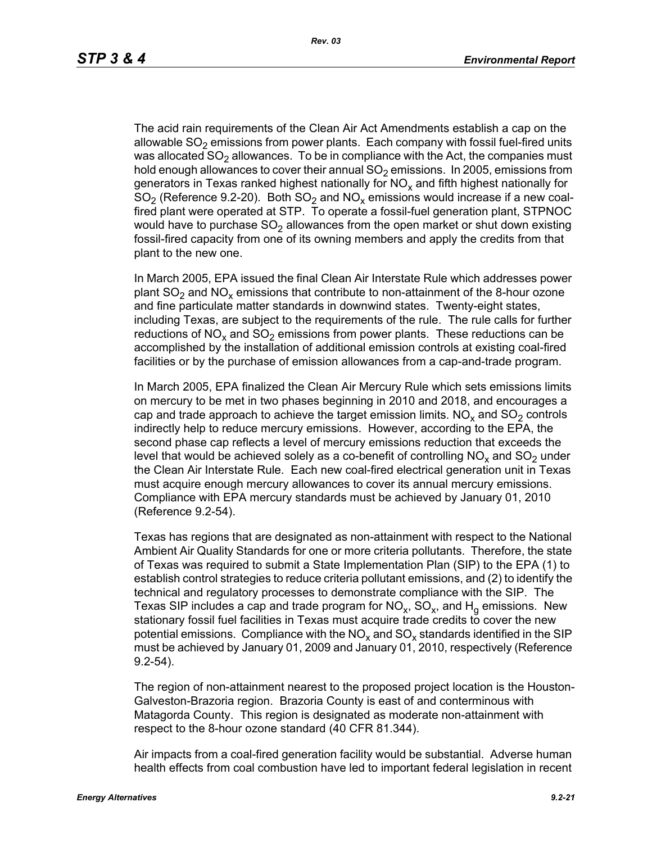The acid rain requirements of the Clean Air Act Amendments establish a cap on the allowable  $SO<sub>2</sub>$  emissions from power plants. Each company with fossil fuel-fired units was allocated  $SO<sub>2</sub>$  allowances. To be in compliance with the Act, the companies must hold enough allowances to cover their annual  $SO<sub>2</sub>$  emissions. In 2005, emissions from generators in Texas ranked highest nationally for  $NO<sub>x</sub>$  and fifth highest nationally for  $SO<sub>2</sub>$  (Reference 9.2-20). Both  $SO<sub>2</sub>$  and  $NO<sub>x</sub>$  emissions would increase if a new coalfired plant were operated at STP. To operate a fossil-fuel generation plant, STPNOC would have to purchase  $SO<sub>2</sub>$  allowances from the open market or shut down existing fossil-fired capacity from one of its owning members and apply the credits from that plant to the new one.

In March 2005, EPA issued the final Clean Air Interstate Rule which addresses power plant  $SO_2$  and  $NO_x$  emissions that contribute to non-attainment of the 8-hour ozone and fine particulate matter standards in downwind states. Twenty-eight states, including Texas, are subject to the requirements of the rule. The rule calls for further reductions of NO<sub>x</sub> and SO<sub>2</sub> emissions from power plants. These reductions can be accomplished by the installation of additional emission controls at existing coal-fired facilities or by the purchase of emission allowances from a cap-and-trade program.

In March 2005, EPA finalized the Clean Air Mercury Rule which sets emissions limits on mercury to be met in two phases beginning in 2010 and 2018, and encourages a cap and trade approach to achieve the target emission limits.  $NO<sub>x</sub>$  and  $SO<sub>2</sub>$  controls indirectly help to reduce mercury emissions. However, according to the EPA, the second phase cap reflects a level of mercury emissions reduction that exceeds the level that would be achieved solely as a co-benefit of controlling  $NO<sub>x</sub>$  and  $SO<sub>2</sub>$  under the Clean Air Interstate Rule. Each new coal-fired electrical generation unit in Texas must acquire enough mercury allowances to cover its annual mercury emissions. Compliance with EPA mercury standards must be achieved by January 01, 2010 (Reference 9.2-54).

Texas has regions that are designated as non-attainment with respect to the National Ambient Air Quality Standards for one or more criteria pollutants. Therefore, the state of Texas was required to submit a State Implementation Plan (SIP) to the EPA (1) to establish control strategies to reduce criteria pollutant emissions, and (2) to identify the technical and regulatory processes to demonstrate compliance with the SIP. The Texas SIP includes a cap and trade program for  $NO<sub>x</sub>$ , SO<sub>x</sub>, and H<sub>q</sub> emissions. New stationary fossil fuel facilities in Texas must acquire trade credits to cover the new potential emissions. Compliance with the  $NO<sub>x</sub>$  and  $SO<sub>x</sub>$  standards identified in the SIP must be achieved by January 01, 2009 and January 01, 2010, respectively (Reference 9.2-54).

The region of non-attainment nearest to the proposed project location is the Houston-Galveston-Brazoria region. Brazoria County is east of and conterminous with Matagorda County. This region is designated as moderate non-attainment with respect to the 8-hour ozone standard (40 CFR 81.344).

Air impacts from a coal-fired generation facility would be substantial. Adverse human health effects from coal combustion have led to important federal legislation in recent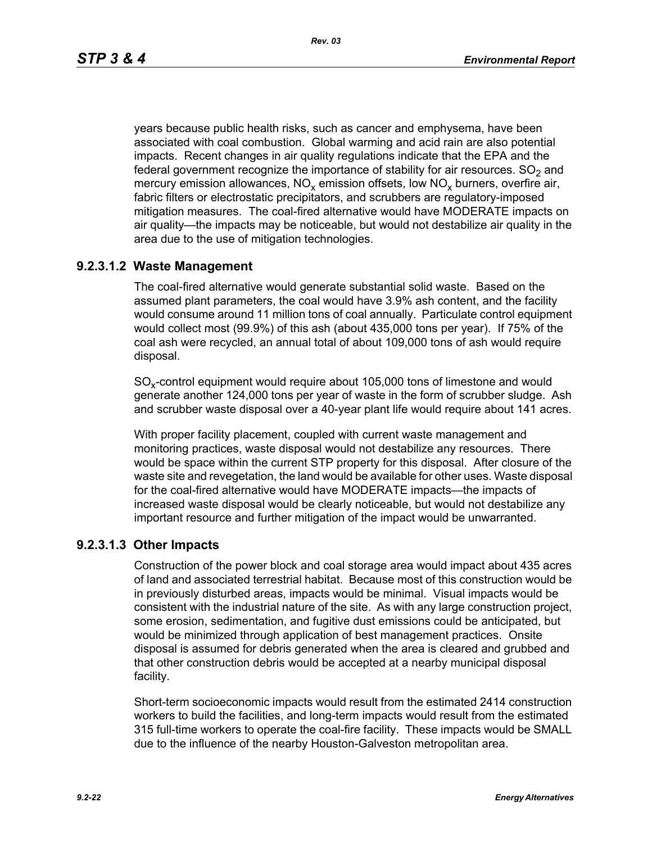years because public health risks, such as cancer and emphysema, have been associated with coal combustion. Global warming and acid rain are also potential impacts. Recent changes in air quality regulations indicate that the EPA and the federal government recognize the importance of stability for air resources.  $SO<sub>2</sub>$  and mercury emission allowances,  $NO_x$  emission offsets, low  $NO_x$  burners, overfire air, fabric filters or electrostatic precipitators, and scrubbers are regulatory-imposed mitigation measures. The coal-fired alternative would have MODERATE impacts on air quality—the impacts may be noticeable, but would not destabilize air quality in the area due to the use of mitigation technologies.

# **9.2.3.1.2 Waste Management**

The coal-fired alternative would generate substantial solid waste. Based on the assumed plant parameters, the coal would have 3.9% ash content, and the facility would consume around 11 million tons of coal annually. Particulate control equipment would collect most (99.9%) of this ash (about 435,000 tons per year). If 75% of the coal ash were recycled, an annual total of about 109,000 tons of ash would require disposal.

SO<sub>y</sub>-control equipment would require about 105,000 tons of limestone and would generate another 124,000 tons per year of waste in the form of scrubber sludge. Ash and scrubber waste disposal over a 40-year plant life would require about 141 acres.

With proper facility placement, coupled with current waste management and monitoring practices, waste disposal would not destabilize any resources. There would be space within the current STP property for this disposal. After closure of the waste site and revegetation, the land would be available for other uses. Waste disposal for the coal-fired alternative would have MODERATE impacts—the impacts of increased waste disposal would be clearly noticeable, but would not destabilize any important resource and further mitigation of the impact would be unwarranted.

# **9.2.3.1.3 Other Impacts**

Construction of the power block and coal storage area would impact about 435 acres of land and associated terrestrial habitat. Because most of this construction would be in previously disturbed areas, impacts would be minimal. Visual impacts would be consistent with the industrial nature of the site. As with any large construction project, some erosion, sedimentation, and fugitive dust emissions could be anticipated, but would be minimized through application of best management practices. Onsite disposal is assumed for debris generated when the area is cleared and grubbed and that other construction debris would be accepted at a nearby municipal disposal facility.

Short-term socioeconomic impacts would result from the estimated 2414 construction workers to build the facilities, and long-term impacts would result from the estimated 315 full-time workers to operate the coal-fire facility. These impacts would be SMALL due to the influence of the nearby Houston-Galveston metropolitan area.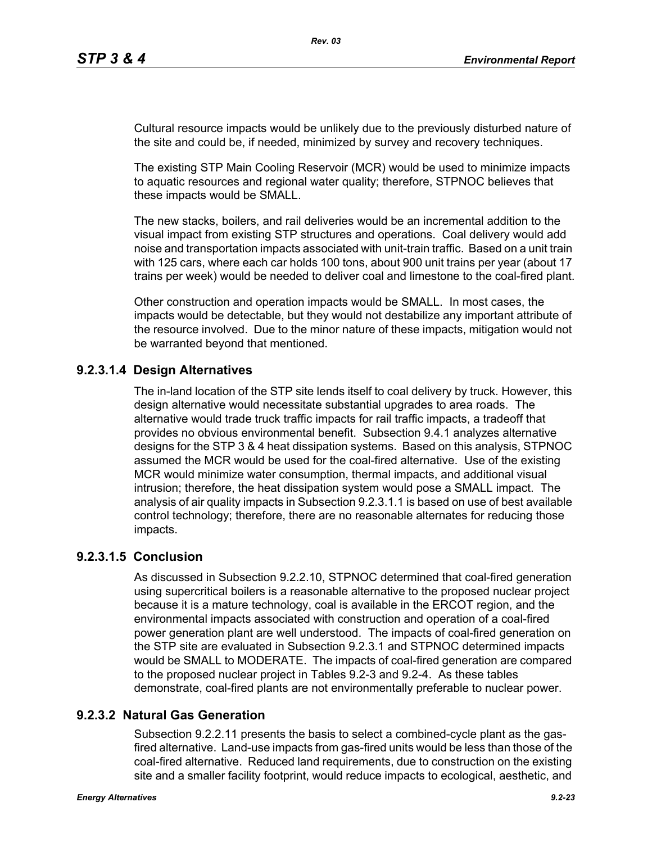Cultural resource impacts would be unlikely due to the previously disturbed nature of the site and could be, if needed, minimized by survey and recovery techniques.

The existing STP Main Cooling Reservoir (MCR) would be used to minimize impacts to aquatic resources and regional water quality; therefore, STPNOC believes that these impacts would be SMALL.

The new stacks, boilers, and rail deliveries would be an incremental addition to the visual impact from existing STP structures and operations. Coal delivery would add noise and transportation impacts associated with unit-train traffic. Based on a unit train with 125 cars, where each car holds 100 tons, about 900 unit trains per year (about 17 trains per week) would be needed to deliver coal and limestone to the coal-fired plant.

Other construction and operation impacts would be SMALL. In most cases, the impacts would be detectable, but they would not destabilize any important attribute of the resource involved. Due to the minor nature of these impacts, mitigation would not be warranted beyond that mentioned.

# **9.2.3.1.4 Design Alternatives**

The in-land location of the STP site lends itself to coal delivery by truck. However, this design alternative would necessitate substantial upgrades to area roads. The alternative would trade truck traffic impacts for rail traffic impacts, a tradeoff that provides no obvious environmental benefit. Subsection 9.4.1 analyzes alternative designs for the STP 3 & 4 heat dissipation systems. Based on this analysis, STPNOC assumed the MCR would be used for the coal-fired alternative. Use of the existing MCR would minimize water consumption, thermal impacts, and additional visual intrusion; therefore, the heat dissipation system would pose a SMALL impact. The analysis of air quality impacts in Subsection 9.2.3.1.1 is based on use of best available control technology; therefore, there are no reasonable alternates for reducing those impacts.

# **9.2.3.1.5 Conclusion**

As discussed in Subsection 9.2.2.10, STPNOC determined that coal-fired generation using supercritical boilers is a reasonable alternative to the proposed nuclear project because it is a mature technology, coal is available in the ERCOT region, and the environmental impacts associated with construction and operation of a coal-fired power generation plant are well understood. The impacts of coal-fired generation on the STP site are evaluated in Subsection 9.2.3.1 and STPNOC determined impacts would be SMALL to MODERATE. The impacts of coal-fired generation are compared to the proposed nuclear project in Tables 9.2-3 and 9.2-4. As these tables demonstrate, coal-fired plants are not environmentally preferable to nuclear power.

# **9.2.3.2 Natural Gas Generation**

Subsection 9.2.2.11 presents the basis to select a combined-cycle plant as the gasfired alternative. Land-use impacts from gas-fired units would be less than those of the coal-fired alternative. Reduced land requirements, due to construction on the existing site and a smaller facility footprint, would reduce impacts to ecological, aesthetic, and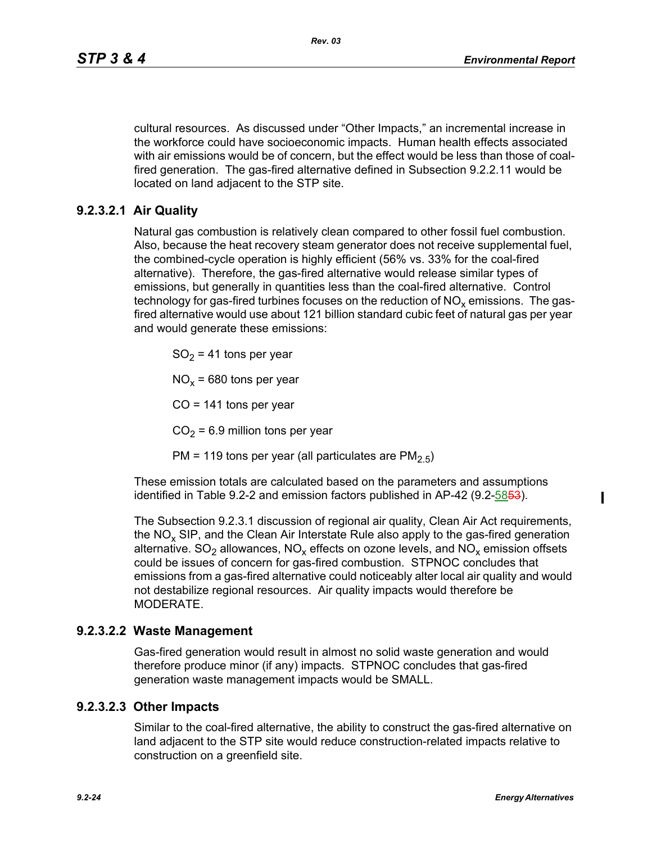cultural resources. As discussed under "Other Impacts," an incremental increase in the workforce could have socioeconomic impacts. Human health effects associated with air emissions would be of concern, but the effect would be less than those of coalfired generation. The gas-fired alternative defined in Subsection 9.2.2.11 would be located on land adjacent to the STP site.

### **9.2.3.2.1 Air Quality**

Natural gas combustion is relatively clean compared to other fossil fuel combustion. Also, because the heat recovery steam generator does not receive supplemental fuel, the combined-cycle operation is highly efficient (56% vs. 33% for the coal-fired alternative). Therefore, the gas-fired alternative would release similar types of emissions, but generally in quantities less than the coal-fired alternative. Control technology for gas-fired turbines focuses on the reduction of  $NO<sub>x</sub>$  emissions. The gasfired alternative would use about 121 billion standard cubic feet of natural gas per year and would generate these emissions:

 $SO<sub>2</sub> = 41$  tons per year

 $NO<sub>x</sub>$  = 680 tons per year

 $CO = 141$  tons per year

 $CO<sub>2</sub> = 6.9$  million tons per year

PM = 119 tons per year (all particulates are  $PM<sub>2.5</sub>$ )

These emission totals are calculated based on the parameters and assumptions identified in Table 9.2-2 and emission factors published in AP-42 (9.2-5853).

The Subsection 9.2.3.1 discussion of regional air quality, Clean Air Act requirements, the  $NO<sub>x</sub>$  SIP, and the Clean Air Interstate Rule also apply to the gas-fired generation alternative.  $SO_2$  allowances,  $NO_x$  effects on ozone levels, and  $NO_x$  emission offsets could be issues of concern for gas-fired combustion. STPNOC concludes that emissions from a gas-fired alternative could noticeably alter local air quality and would not destabilize regional resources. Air quality impacts would therefore be MODERATE.

### **9.2.3.2.2 Waste Management**

Gas-fired generation would result in almost no solid waste generation and would therefore produce minor (if any) impacts. STPNOC concludes that gas-fired generation waste management impacts would be SMALL.

### **9.2.3.2.3 Other Impacts**

Similar to the coal-fired alternative, the ability to construct the gas-fired alternative on land adjacent to the STP site would reduce construction-related impacts relative to construction on a greenfield site.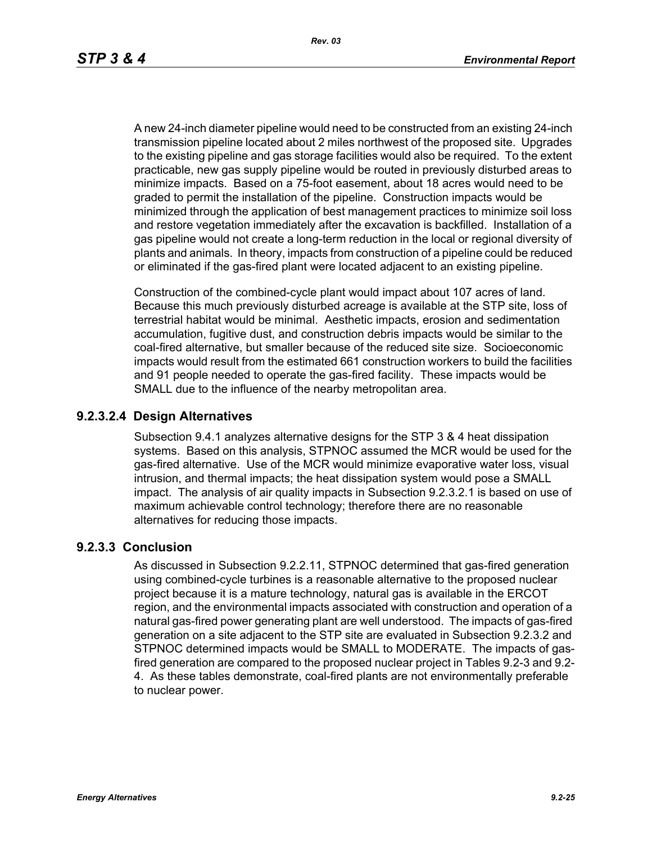A new 24-inch diameter pipeline would need to be constructed from an existing 24-inch transmission pipeline located about 2 miles northwest of the proposed site. Upgrades to the existing pipeline and gas storage facilities would also be required. To the extent practicable, new gas supply pipeline would be routed in previously disturbed areas to minimize impacts. Based on a 75-foot easement, about 18 acres would need to be graded to permit the installation of the pipeline. Construction impacts would be minimized through the application of best management practices to minimize soil loss and restore vegetation immediately after the excavation is backfilled. Installation of a gas pipeline would not create a long-term reduction in the local or regional diversity of plants and animals. In theory, impacts from construction of a pipeline could be reduced or eliminated if the gas-fired plant were located adjacent to an existing pipeline.

Construction of the combined-cycle plant would impact about 107 acres of land. Because this much previously disturbed acreage is available at the STP site, loss of terrestrial habitat would be minimal. Aesthetic impacts, erosion and sedimentation accumulation, fugitive dust, and construction debris impacts would be similar to the coal-fired alternative, but smaller because of the reduced site size. Socioeconomic impacts would result from the estimated 661 construction workers to build the facilities and 91 people needed to operate the gas-fired facility. These impacts would be SMALL due to the influence of the nearby metropolitan area.

### **9.2.3.2.4 Design Alternatives**

Subsection 9.4.1 analyzes alternative designs for the STP 3 & 4 heat dissipation systems. Based on this analysis, STPNOC assumed the MCR would be used for the gas-fired alternative. Use of the MCR would minimize evaporative water loss, visual intrusion, and thermal impacts; the heat dissipation system would pose a SMALL impact. The analysis of air quality impacts in Subsection 9.2.3.2.1 is based on use of maximum achievable control technology; therefore there are no reasonable alternatives for reducing those impacts.

### **9.2.3.3 Conclusion**

As discussed in Subsection 9.2.2.11, STPNOC determined that gas-fired generation using combined-cycle turbines is a reasonable alternative to the proposed nuclear project because it is a mature technology, natural gas is available in the ERCOT region, and the environmental impacts associated with construction and operation of a natural gas-fired power generating plant are well understood. The impacts of gas-fired generation on a site adjacent to the STP site are evaluated in Subsection 9.2.3.2 and STPNOC determined impacts would be SMALL to MODERATE. The impacts of gasfired generation are compared to the proposed nuclear project in Tables 9.2-3 and 9.2- 4. As these tables demonstrate, coal-fired plants are not environmentally preferable to nuclear power.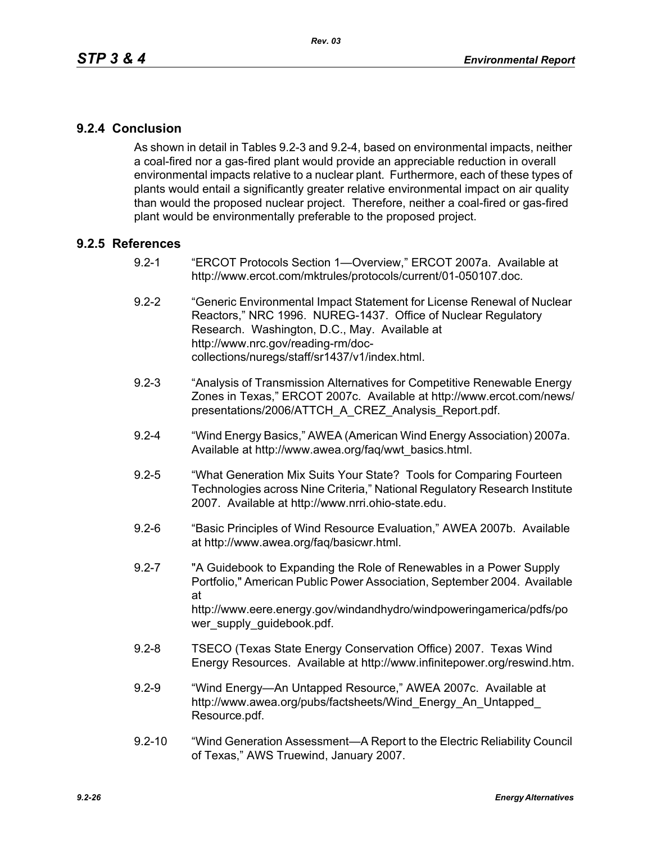# **9.2.4 Conclusion**

As shown in detail in Tables 9.2-3 and 9.2-4, based on environmental impacts, neither a coal-fired nor a gas-fired plant would provide an appreciable reduction in overall environmental impacts relative to a nuclear plant. Furthermore, each of these types of plants would entail a significantly greater relative environmental impact on air quality than would the proposed nuclear project. Therefore, neither a coal-fired or gas-fired plant would be environmentally preferable to the proposed project.

### **9.2.5 References**

- 9.2-1 "ERCOT Protocols Section 1—Overview," ERCOT 2007a. Available at http://www.ercot.com/mktrules/protocols/current/01-050107.doc.
- 9.2-2 "Generic Environmental Impact Statement for License Renewal of Nuclear Reactors," NRC 1996. NUREG-1437. Office of Nuclear Regulatory Research. Washington, D.C., May. Available at http://www.nrc.gov/reading-rm/doccollections/nuregs/staff/sr1437/v1/index.html.
- 9.2-3 "Analysis of Transmission Alternatives for Competitive Renewable Energy Zones in Texas," ERCOT 2007c. Available at http://www.ercot.com/news/ presentations/2006/ATTCH\_A\_CREZ\_Analysis\_Report.pdf.
- 9.2-4 "Wind Energy Basics," AWEA (American Wind Energy Association) 2007a. Available at http://www.awea.org/faq/wwt\_basics.html.
- 9.2-5 "What Generation Mix Suits Your State? Tools for Comparing Fourteen Technologies across Nine Criteria," National Regulatory Research Institute 2007. Available at http://www.nrri.ohio-state.edu.
- 9.2-6 "Basic Principles of Wind Resource Evaluation," AWEA 2007b. Available at http://www.awea.org/faq/basicwr.html.
- 9.2-7 "A Guidebook to Expanding the Role of Renewables in a Power Supply Portfolio," American Public Power Association, September 2004. Available at http://www.eere.energy.gov/windandhydro/windpoweringamerica/pdfs/po wer\_supply\_guidebook.pdf.
- 9.2-8 TSECO (Texas State Energy Conservation Office) 2007. Texas Wind Energy Resources. Available at http://www.infinitepower.org/reswind.htm.
- 9.2-9 "Wind Energy—An Untapped Resource," AWEA 2007c. Available at http://www.awea.org/pubs/factsheets/Wind\_Energy\_An\_Untapped\_ Resource.pdf.
- 9.2-10 "Wind Generation Assessment—A Report to the Electric Reliability Council of Texas," AWS Truewind, January 2007.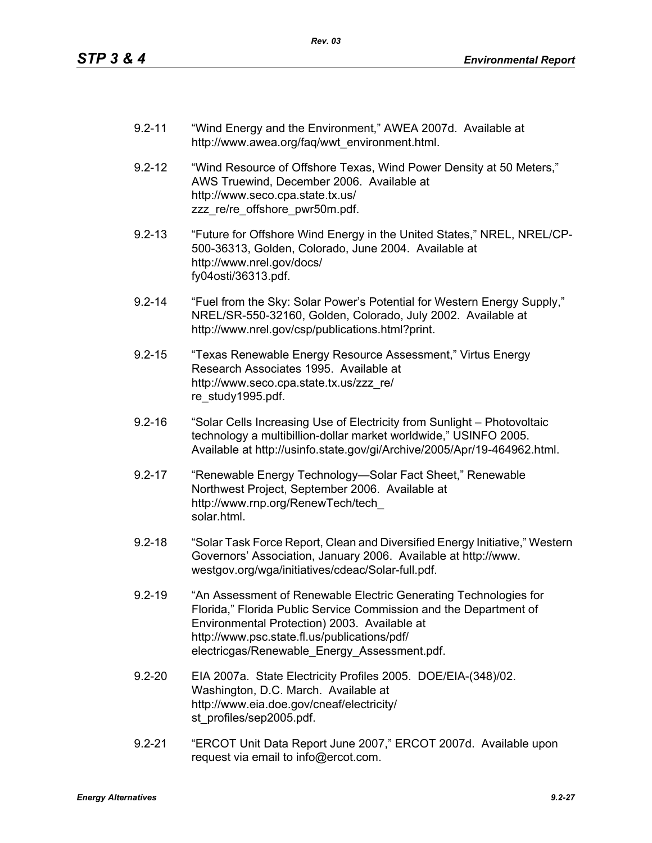- 9.2-11 "Wind Energy and the Environment," AWEA 2007d. Available at http://www.awea.org/faq/wwt\_environment.html.
- 9.2-12 "Wind Resource of Offshore Texas, Wind Power Density at 50 Meters," AWS Truewind, December 2006. Available at http://www.seco.cpa.state.tx.us/ zzz\_re/re\_offshore\_pwr50m.pdf.
- 9.2-13 "Future for Offshore Wind Energy in the United States," NREL, NREL/CP-500-36313, Golden, Colorado, June 2004. Available at http://www.nrel.gov/docs/ fy04osti/36313.pdf.
- 9.2-14 "Fuel from the Sky: Solar Power's Potential for Western Energy Supply," NREL/SR-550-32160, Golden, Colorado, July 2002. Available at http://www.nrel.gov/csp/publications.html?print.
- 9.2-15 "Texas Renewable Energy Resource Assessment," Virtus Energy Research Associates 1995. Available at http://www.seco.cpa.state.tx.us/zzz\_re/ re\_study1995.pdf.
- 9.2-16 "Solar Cells Increasing Use of Electricity from Sunlight Photovoltaic technology a multibillion-dollar market worldwide," USINFO 2005. Available at http://usinfo.state.gov/gi/Archive/2005/Apr/19-464962.html.
- 9.2-17 "Renewable Energy Technology—Solar Fact Sheet," Renewable Northwest Project, September 2006. Available at http://www.rnp.org/RenewTech/tech\_ solar.html.
- 9.2-18 "Solar Task Force Report, Clean and Diversified Energy Initiative," Western Governors' Association, January 2006. Available at http://www. westgov.org/wga/initiatives/cdeac/Solar-full.pdf.
- 9.2-19 "An Assessment of Renewable Electric Generating Technologies for Florida," Florida Public Service Commission and the Department of Environmental Protection) 2003. Available at http://www.psc.state.fl.us/publications/pdf/ electricgas/Renewable\_Energy\_Assessment.pdf.
- 9.2-20 EIA 2007a. State Electricity Profiles 2005. DOE/EIA-(348)/02. Washington, D.C. March. Available at http://www.eia.doe.gov/cneaf/electricity/ st\_profiles/sep2005.pdf.
- 9.2-21 "ERCOT Unit Data Report June 2007," ERCOT 2007d. Available upon request via email to info@ercot.com.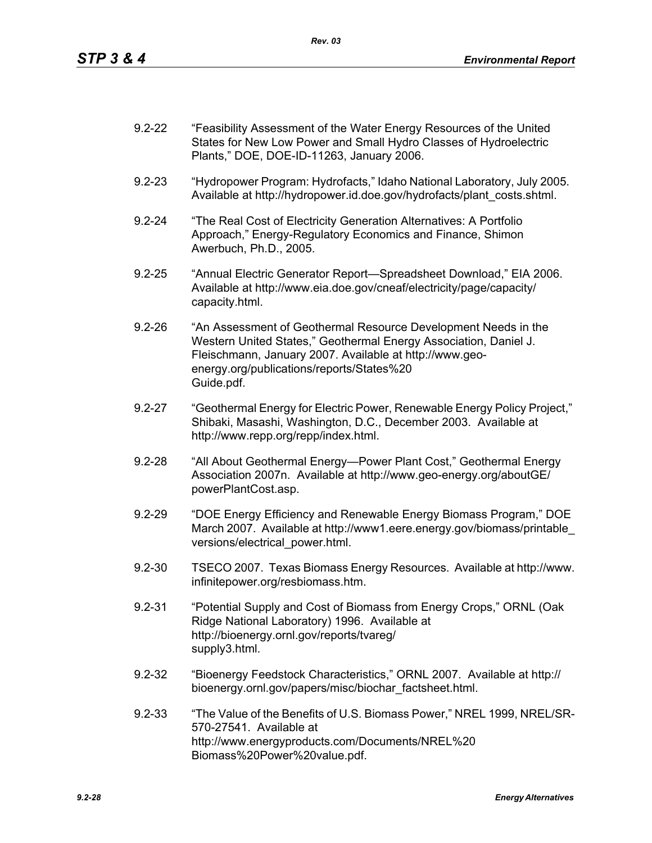| $9.2 - 22$ | "Feasibility Assessment of the Water Energy Resources of the United |
|------------|---------------------------------------------------------------------|
|            | States for New Low Power and Small Hydro Classes of Hydroelectric   |
|            | Plants," DOE, DOE-ID-11263, January 2006.                           |

- 9.2-23 "Hydropower Program: Hydrofacts," Idaho National Laboratory, July 2005. Available at http://hydropower.id.doe.gov/hydrofacts/plant\_costs.shtml.
- 9.2-24 "The Real Cost of Electricity Generation Alternatives: A Portfolio Approach," Energy-Regulatory Economics and Finance, Shimon Awerbuch, Ph.D., 2005.
- 9.2-25 "Annual Electric Generator Report—Spreadsheet Download," EIA 2006. Available at http://www.eia.doe.gov/cneaf/electricity/page/capacity/ capacity.html.
- 9.2-26 "An Assessment of Geothermal Resource Development Needs in the Western United States," Geothermal Energy Association, Daniel J. Fleischmann, January 2007. Available at http://www.geoenergy.org/publications/reports/States%20 Guide.pdf.
- 9.2-27 "Geothermal Energy for Electric Power, Renewable Energy Policy Project," Shibaki, Masashi, Washington, D.C., December 2003. Available at http://www.repp.org/repp/index.html.
- 9.2-28 "All About Geothermal Energy—Power Plant Cost," Geothermal Energy Association 2007n. Available at http://www.geo-energy.org/aboutGE/ powerPlantCost.asp.
- 9.2-29 "DOE Energy Efficiency and Renewable Energy Biomass Program," DOE March 2007. Available at http://www1.eere.energy.gov/biomass/printable\_ versions/electrical\_power.html.
- 9.2-30 TSECO 2007. Texas Biomass Energy Resources. Available at http://www. infinitepower.org/resbiomass.htm.
- 9.2-31 "Potential Supply and Cost of Biomass from Energy Crops," ORNL (Oak Ridge National Laboratory) 1996. Available at http://bioenergy.ornl.gov/reports/tvareg/ supply3.html.
- 9.2-32 "Bioenergy Feedstock Characteristics," ORNL 2007. Available at http:// bioenergy.ornl.gov/papers/misc/biochar\_factsheet.html.
- 9.2-33 "The Value of the Benefits of U.S. Biomass Power," NREL 1999, NREL/SR-570-27541. Available at http://www.energyproducts.com/Documents/NREL%20 Biomass%20Power%20value.pdf.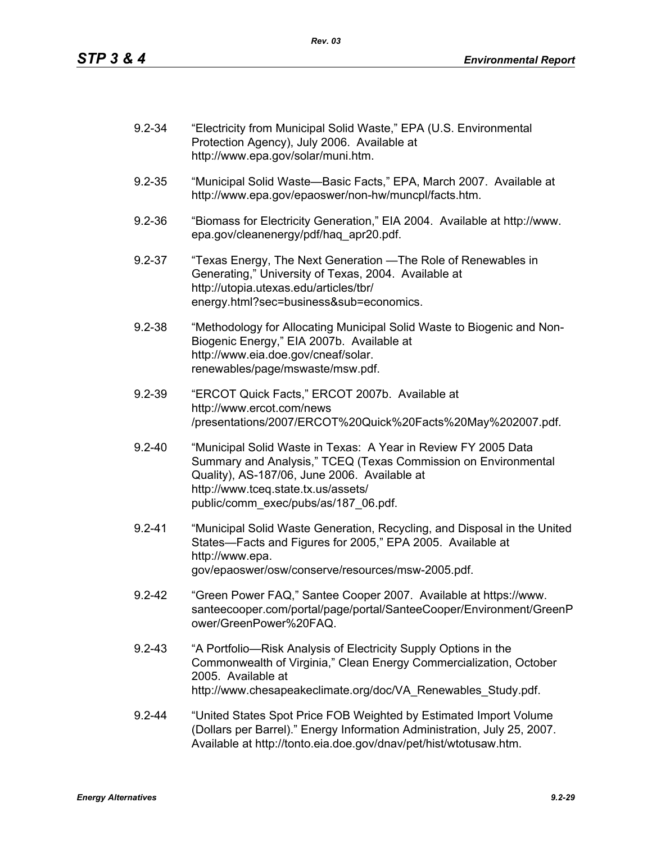| $9.2 - 34$ | "Electricity from Municipal Solid Waste," EPA (U.S. Environmental<br>Protection Agency), July 2006. Available at<br>http://www.epa.gov/solar/muni.htm.                                                                                                          |
|------------|-----------------------------------------------------------------------------------------------------------------------------------------------------------------------------------------------------------------------------------------------------------------|
| $9.2 - 35$ | "Municipal Solid Waste-Basic Facts," EPA, March 2007. Available at<br>http://www.epa.gov/epaoswer/non-hw/muncpl/facts.htm.                                                                                                                                      |
| $9.2 - 36$ | "Biomass for Electricity Generation," EIA 2004. Available at http://www.<br>epa.gov/cleanenergy/pdf/haq apr20.pdf.                                                                                                                                              |
| $9.2 - 37$ | "Texas Energy, The Next Generation — The Role of Renewables in<br>Generating," University of Texas, 2004. Available at<br>http://utopia.utexas.edu/articles/tbr/<br>energy.html?sec=business⊂=economics.                                                        |
| $9.2 - 38$ | "Methodology for Allocating Municipal Solid Waste to Biogenic and Non-<br>Biogenic Energy," EIA 2007b. Available at<br>http://www.eia.doe.gov/cneaf/solar.<br>renewables/page/mswaste/msw.pdf.                                                                  |
| $9.2 - 39$ | "ERCOT Quick Facts," ERCOT 2007b. Available at<br>http://www.ercot.com/news<br>/presentations/2007/ERCOT%20Quick%20Facts%20May%202007.pdf.                                                                                                                      |
| $9.2 - 40$ | "Municipal Solid Waste in Texas: A Year in Review FY 2005 Data<br>Summary and Analysis," TCEQ (Texas Commission on Environmental<br>Quality), AS-187/06, June 2006. Available at<br>http://www.tceq.state.tx.us/assets/<br>public/comm_exec/pubs/as/187_06.pdf. |
| $9.2 - 41$ | "Municipal Solid Waste Generation, Recycling, and Disposal in the United<br>States-Facts and Figures for 2005," EPA 2005. Available at<br>http://www.epa.<br>gov/epaoswer/osw/conserve/resources/msw-2005.pdf.                                                  |
| $9.2 - 42$ | "Green Power FAQ," Santee Cooper 2007. Available at https://www.<br>santeecooper.com/portal/page/portal/SanteeCooper/Environment/GreenP<br>ower/GreenPower%20FAQ.                                                                                               |
| $9.2 - 43$ | "A Portfolio—Risk Analysis of Electricity Supply Options in the<br>Commonwealth of Virginia," Clean Energy Commercialization, October<br>2005. Available at<br>http://www.chesapeakeclimate.org/doc/VA Renewables Study.pdf.                                    |
| $9.2 - 44$ | "United States Spot Price FOB Weighted by Estimated Import Volume<br>(Dollars per Barrel)." Energy Information Administration, July 25, 2007.<br>Available at http://tonto.eia.doe.gov/dnav/pet/hist/wtotusaw.htm.                                              |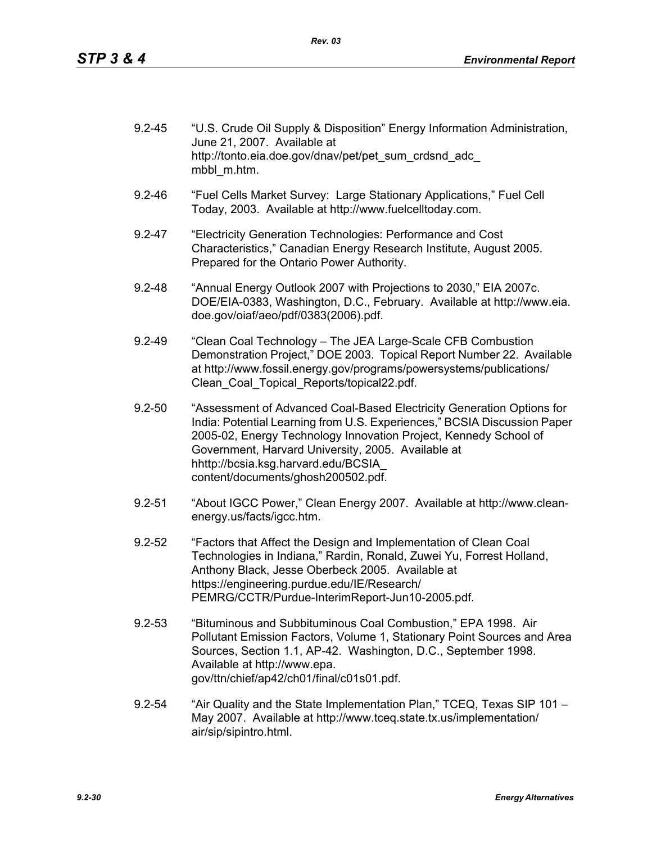| $9.2 - 45$ | "U.S. Crude Oil Supply & Disposition" Energy Information Administration,<br>June 21, 2007. Available at |
|------------|---------------------------------------------------------------------------------------------------------|
|            | http://tonto.eia.doe.gov/dnav/pet/pet sum crdsnd adc<br>mbbl m.htm.                                     |

- 9.2-46 "Fuel Cells Market Survey: Large Stationary Applications," Fuel Cell Today, 2003. Available at http://www.fuelcelltoday.com.
- 9.2-47 "Electricity Generation Technologies: Performance and Cost Characteristics," Canadian Energy Research Institute, August 2005. Prepared for the Ontario Power Authority.
- 9.2-48 "Annual Energy Outlook 2007 with Projections to 2030," EIA 2007c. DOE/EIA-0383, Washington, D.C., February. Available at http://www.eia. doe.gov/oiaf/aeo/pdf/0383(2006).pdf.
- 9.2-49 "Clean Coal Technology The JEA Large-Scale CFB Combustion Demonstration Project," DOE 2003. Topical Report Number 22. Available at http://www.fossil.energy.gov/programs/powersystems/publications/ Clean\_Coal\_Topical\_Reports/topical22.pdf.
- 9.2-50 "Assessment of Advanced Coal-Based Electricity Generation Options for India: Potential Learning from U.S. Experiences," BCSIA Discussion Paper 2005-02, Energy Technology Innovation Project, Kennedy School of Government, Harvard University, 2005. Available at hhttp://bcsia.ksg.harvard.edu/BCSIA\_ content/documents/ghosh200502.pdf.
- 9.2-51 "About IGCC Power," Clean Energy 2007. Available at http://www.cleanenergy.us/facts/igcc.htm.
- 9.2-52 "Factors that Affect the Design and Implementation of Clean Coal Technologies in Indiana," Rardin, Ronald, Zuwei Yu, Forrest Holland, Anthony Black, Jesse Oberbeck 2005. Available at https://engineering.purdue.edu/IE/Research/ PEMRG/CCTR/Purdue-InterimReport-Jun10-2005.pdf.
- 9.2-53 "Bituminous and Subbituminous Coal Combustion," EPA 1998. Air Pollutant Emission Factors, Volume 1, Stationary Point Sources and Area Sources, Section 1.1, AP-42. Washington, D.C., September 1998. Available at http://www.epa. gov/ttn/chief/ap42/ch01/final/c01s01.pdf.
- 9.2-54 "Air Quality and the State Implementation Plan," TCEQ, Texas SIP 101 May 2007. Available at http://www.tceq.state.tx.us/implementation/ air/sip/sipintro.html.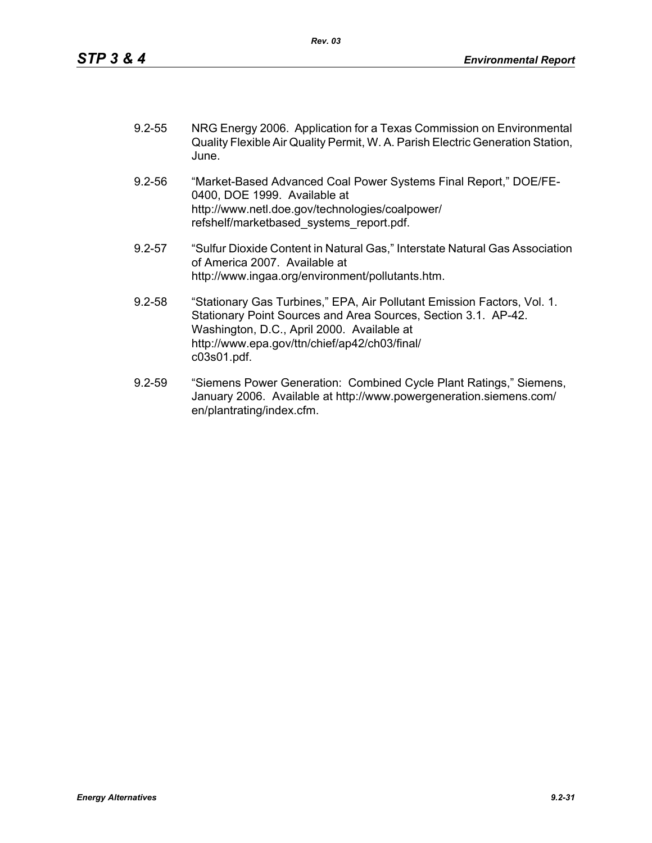| $9.2 - 55$ | NRG Energy 2006. Application for a Texas Commission on Environmental           |
|------------|--------------------------------------------------------------------------------|
|            | Quality Flexible Air Quality Permit, W. A. Parish Electric Generation Station, |
|            | June.                                                                          |

- 9.2-56 "Market-Based Advanced Coal Power Systems Final Report," DOE/FE-0400, DOE 1999. Available at http://www.netl.doe.gov/technologies/coalpower/ refshelf/marketbased\_systems\_report.pdf.
- 9.2-57 "Sulfur Dioxide Content in Natural Gas," Interstate Natural Gas Association of America 2007. Available at http://www.ingaa.org/environment/pollutants.htm.
- 9.2-58 "Stationary Gas Turbines," EPA, Air Pollutant Emission Factors, Vol. 1. Stationary Point Sources and Area Sources, Section 3.1. AP-42. Washington, D.C., April 2000. Available at http://www.epa.gov/ttn/chief/ap42/ch03/final/ c03s01.pdf.
- 9.2-59 "Siemens Power Generation: Combined Cycle Plant Ratings," Siemens, January 2006. Available at http://www.powergeneration.siemens.com/ en/plantrating/index.cfm.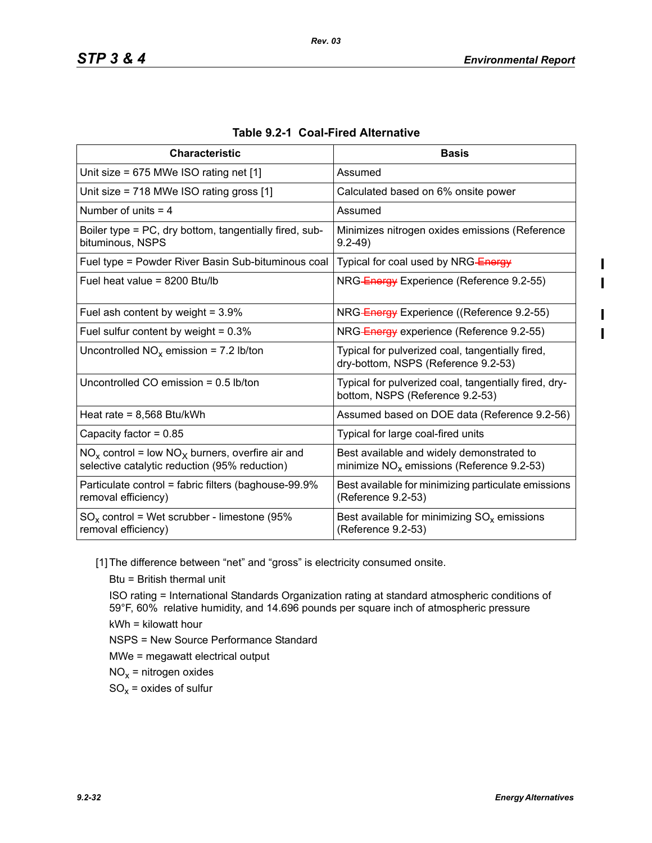| <b>Characteristic</b>                                                                                  | <b>Basis</b>                                                                             |
|--------------------------------------------------------------------------------------------------------|------------------------------------------------------------------------------------------|
| Unit size = $675$ MWe ISO rating net [1]                                                               | Assumed                                                                                  |
| Unit size = 718 MWe ISO rating gross [1]                                                               | Calculated based on 6% onsite power                                                      |
| Number of units $=$ 4                                                                                  | Assumed                                                                                  |
| Boiler type = PC, dry bottom, tangentially fired, sub-<br>bituminous, NSPS                             | Minimizes nitrogen oxides emissions (Reference<br>$9.2 - 49$                             |
| Fuel type = Powder River Basin Sub-bituminous coal                                                     | Typical for coal used by NRG-Energy                                                      |
| Fuel heat value = 8200 Btu/lb                                                                          | NRG-Energy Experience (Reference 9.2-55)                                                 |
| Fuel ash content by weight = $3.9\%$                                                                   | NRG-Energy Experience ((Reference 9.2-55)                                                |
| Fuel sulfur content by weight = $0.3\%$                                                                | NRG-Energy experience (Reference 9.2-55)                                                 |
| Uncontrolled $NO_x$ emission = 7.2 lb/ton                                                              | Typical for pulverized coal, tangentially fired,<br>dry-bottom, NSPS (Reference 9.2-53)  |
| Uncontrolled CO emission = $0.5$ lb/ton                                                                | Typical for pulverized coal, tangentially fired, dry-<br>bottom, NSPS (Reference 9.2-53) |
| Heat rate = $8,568$ Btu/kWh                                                                            | Assumed based on DOE data (Reference 9.2-56)                                             |
| Capacity factor = $0.85$                                                                               | Typical for large coal-fired units                                                       |
| $NO_x$ control = low $NO_x$ burners, overfire air and<br>selective catalytic reduction (95% reduction) | Best available and widely demonstrated to<br>minimize $NOx$ emissions (Reference 9.2-53) |
| Particulate control = fabric filters (baghouse-99.9%<br>removal efficiency)                            | Best available for minimizing particulate emissions<br>(Reference 9.2-53)                |
| $SO_x$ control = Wet scrubber - limestone (95%<br>removal efficiency)                                  | Best available for minimizing $SO_x$ emissions<br>(Reference 9.2-53)                     |

| Table 9.2-1 Coal-Fired Alternative |  |
|------------------------------------|--|
|------------------------------------|--|

[1] The difference between "net" and "gross" is electricity consumed onsite.

Btu = British thermal unit

ISO rating = International Standards Organization rating at standard atmospheric conditions of 59°F, 60% relative humidity, and 14.696 pounds per square inch of atmospheric pressure kWh = kilowatt hour

NSPS = New Source Performance Standard

MWe = megawatt electrical output

 $NO<sub>x</sub>$  = nitrogen oxides

 $SO_x =$  oxides of sulfur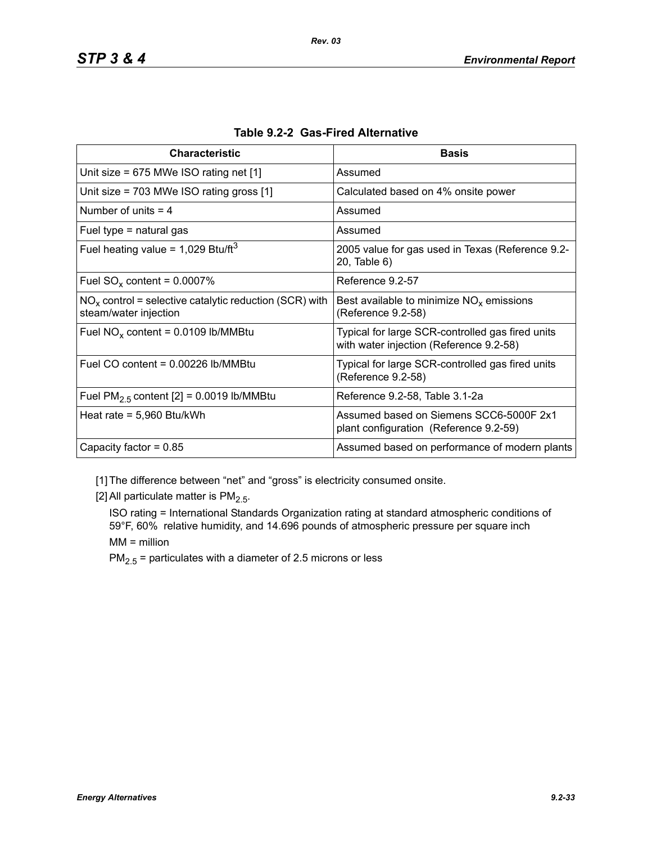| <b>Characteristic</b>                                                             | <b>Basis</b>                                                                                |
|-----------------------------------------------------------------------------------|---------------------------------------------------------------------------------------------|
| Unit size = $675$ MWe ISO rating net [1]                                          | Assumed                                                                                     |
| Unit size = $703$ MWe ISO rating gross [1]                                        | Calculated based on 4% onsite power                                                         |
| Number of units $=$ 4                                                             | Assumed                                                                                     |
| Fuel type $=$ natural gas                                                         | Assumed                                                                                     |
| Fuel heating value = $1,029$ Btu/ft <sup>3</sup>                                  | 2005 value for gas used in Texas (Reference 9.2-<br>20, Table 6)                            |
| Fuel $SO_x$ content = 0.0007%                                                     | Reference 9.2-57                                                                            |
| $NOx$ control = selective catalytic reduction (SCR) with<br>steam/water injection | Best available to minimize $NOx$ emissions<br>(Reference 9.2-58)                            |
| Fuel $NO_x$ content = 0.0109 lb/MMBtu                                             | Typical for large SCR-controlled gas fired units<br>with water injection (Reference 9.2-58) |
| Fuel CO content = 0.00226 lb/MMBtu                                                | Typical for large SCR-controlled gas fired units<br>(Reference 9.2-58)                      |
| Fuel $PM2.5$ content [2] = 0.0019 lb/MMBtu                                        | Reference 9.2-58, Table 3.1-2a                                                              |
| Heat rate = $5,960$ Btu/kWh                                                       | Assumed based on Siemens SCC6-5000F 2x1<br>plant configuration (Reference 9.2-59)           |
| Capacity factor = $0.85$                                                          | Assumed based on performance of modern plants                                               |

|  |  | Table 9.2-2 Gas-Fired Alternative |
|--|--|-----------------------------------|
|--|--|-----------------------------------|

[1] The difference between "net" and "gross" is electricity consumed onsite.

[2] All particulate matter is  $PM<sub>2.5</sub>$ .

ISO rating = International Standards Organization rating at standard atmospheric conditions of 59°F, 60% relative humidity, and 14.696 pounds of atmospheric pressure per square inch MM = million

 $PM_{2.5}$  = particulates with a diameter of 2.5 microns or less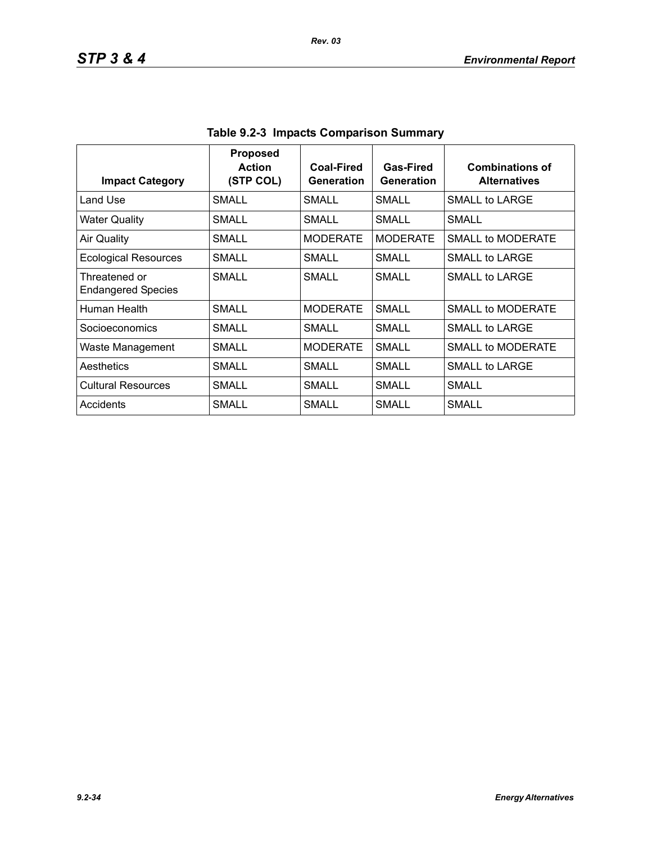| <b>Impact Category</b>                     | <b>Proposed</b><br><b>Action</b><br>(STP COL) | Coal-Fired<br>Generation | Gas-Fired<br>Generation | <b>Combinations of</b><br><b>Alternatives</b> |
|--------------------------------------------|-----------------------------------------------|--------------------------|-------------------------|-----------------------------------------------|
| Land Use                                   | SMALL                                         | SMALL                    | SMALL                   | SMALL to LARGE                                |
| <b>Water Quality</b>                       | SMALL                                         | SMALL                    | SMALL                   | SMALL                                         |
| <b>Air Quality</b>                         | <b>SMALL</b>                                  | <b>MODERATE</b>          | <b>MODERATE</b>         | <b>SMALL to MODERATE</b>                      |
| <b>Ecological Resources</b>                | SMALL                                         | <b>SMALL</b>             | <b>SMALL</b>            | <b>SMALL to LARGE</b>                         |
| Threatened or<br><b>Endangered Species</b> | <b>SMALL</b>                                  | SMALL                    | SMALL                   | SMALL to LARGE                                |
| Human Health                               | SMALL                                         | <b>MODERATE</b>          | SMALL                   | SMALL to MODERATE                             |
| Socioeconomics                             | SMALL                                         | SMALL                    | SMALL                   | <b>SMALL to LARGE</b>                         |
| Waste Management                           | SMALL                                         | <b>MODERATE</b>          | SMALL                   | SMALL to MODERATE                             |
| Aesthetics                                 | SMALL                                         | SMALL                    | <b>SMALL</b>            | SMALL to LARGE                                |
| <b>Cultural Resources</b>                  | <b>SMALL</b>                                  | <b>SMALL</b>             | SMALL                   | SMALL                                         |
| Accidents                                  | SMALL                                         | SMALL                    | SMALL                   | SMALL                                         |

**Table 9.2-3 Impacts Comparison Summary**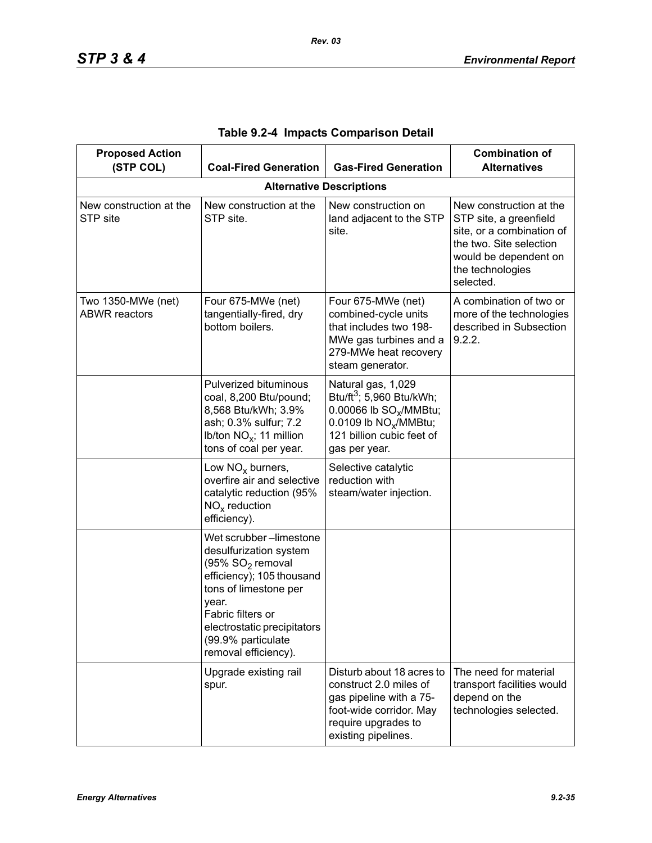| <b>Proposed Action</b><br>(STP COL)        | <b>Coal-Fired Generation</b>                                                                                                                                                                                                                      | <b>Gas-Fired Generation</b>                                                                                                                                                         | <b>Combination of</b><br><b>Alternatives</b>                                                                                                                        |  |
|--------------------------------------------|---------------------------------------------------------------------------------------------------------------------------------------------------------------------------------------------------------------------------------------------------|-------------------------------------------------------------------------------------------------------------------------------------------------------------------------------------|---------------------------------------------------------------------------------------------------------------------------------------------------------------------|--|
| <b>Alternative Descriptions</b>            |                                                                                                                                                                                                                                                   |                                                                                                                                                                                     |                                                                                                                                                                     |  |
| New construction at the<br>STP site        | New construction at the<br>STP site.                                                                                                                                                                                                              | New construction on<br>land adjacent to the STP<br>site.                                                                                                                            | New construction at the<br>STP site, a greenfield<br>site, or a combination of<br>the two. Site selection<br>would be dependent on<br>the technologies<br>selected. |  |
| Two 1350-MWe (net)<br><b>ABWR</b> reactors | Four 675-MWe (net)<br>tangentially-fired, dry<br>bottom boilers.                                                                                                                                                                                  | Four 675-MWe (net)<br>combined-cycle units<br>that includes two 198-<br>MWe gas turbines and a<br>279-MWe heat recovery<br>steam generator.                                         | A combination of two or<br>more of the technologies<br>described in Subsection<br>9.2.2.                                                                            |  |
|                                            | Pulverized bituminous<br>coal, 8,200 Btu/pound;<br>8,568 Btu/kWh; 3.9%<br>ash; 0.3% sulfur; 7.2<br>Ib/ton $NO_x$ ; 11 million<br>tons of coal per year.                                                                                           | Natural gas, 1,029<br>Btu/ft <sup>3</sup> ; 5,960 Btu/kWh;<br>0.00066 lb SO <sub>v</sub> /MMBtu;<br>0.0109 lb NO <sub>x</sub> /MMBtu;<br>121 billion cubic feet of<br>gas per year. |                                                                                                                                                                     |  |
|                                            | Low $NOx$ burners,<br>overfire air and selective<br>catalytic reduction (95%<br>$NOx$ reduction<br>efficiency).                                                                                                                                   | Selective catalytic<br>reduction with<br>steam/water injection.                                                                                                                     |                                                                                                                                                                     |  |
|                                            | Wet scrubber-limestone<br>desulfurization system<br>(95% SO <sub>2</sub> removal<br>efficiency); 105 thousand<br>tons of limestone per<br>year.<br>Fabric filters or<br>electrostatic precipitators<br>(99.9% particulate<br>removal efficiency). |                                                                                                                                                                                     |                                                                                                                                                                     |  |
|                                            | Upgrade existing rail<br>spur.                                                                                                                                                                                                                    | Disturb about 18 acres to<br>construct 2.0 miles of<br>gas pipeline with a 75-<br>foot-wide corridor. May<br>require upgrades to<br>existing pipelines.                             | The need for material<br>transport facilities would<br>depend on the<br>technologies selected.                                                                      |  |

|  |  |  | Table 9.2-4 Impacts Comparison Detail |  |
|--|--|--|---------------------------------------|--|
|--|--|--|---------------------------------------|--|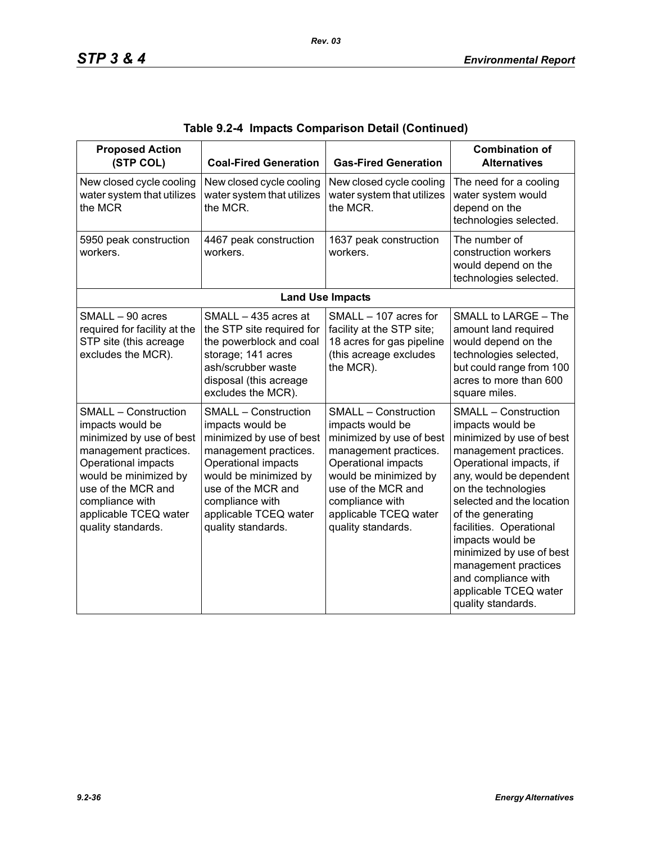| <b>Proposed Action</b><br>(STP COL)                                                                                                                                                                                                          | <b>Coal-Fired Generation</b>                                                                                                                                                                                                                 | <b>Gas-Fired Generation</b>                                                                                                                                                                                                                  | <b>Combination of</b><br><b>Alternatives</b>                                                                                                                                                                                                                                                                                                                                                                 |
|----------------------------------------------------------------------------------------------------------------------------------------------------------------------------------------------------------------------------------------------|----------------------------------------------------------------------------------------------------------------------------------------------------------------------------------------------------------------------------------------------|----------------------------------------------------------------------------------------------------------------------------------------------------------------------------------------------------------------------------------------------|--------------------------------------------------------------------------------------------------------------------------------------------------------------------------------------------------------------------------------------------------------------------------------------------------------------------------------------------------------------------------------------------------------------|
| New closed cycle cooling<br>water system that utilizes<br>the MCR                                                                                                                                                                            | New closed cycle cooling<br>water system that utilizes<br>the MCR.                                                                                                                                                                           | New closed cycle cooling<br>water system that utilizes<br>the MCR.                                                                                                                                                                           | The need for a cooling<br>water system would<br>depend on the<br>technologies selected.                                                                                                                                                                                                                                                                                                                      |
| 5950 peak construction<br>workers.                                                                                                                                                                                                           | 4467 peak construction<br>workers.                                                                                                                                                                                                           | 1637 peak construction<br>workers.                                                                                                                                                                                                           | The number of<br>construction workers<br>would depend on the<br>technologies selected.                                                                                                                                                                                                                                                                                                                       |
|                                                                                                                                                                                                                                              |                                                                                                                                                                                                                                              | <b>Land Use Impacts</b>                                                                                                                                                                                                                      |                                                                                                                                                                                                                                                                                                                                                                                                              |
| SMALL - 90 acres<br>required for facility at the<br>STP site (this acreage<br>excludes the MCR).                                                                                                                                             | SMALL - 435 acres at<br>the STP site required for<br>the powerblock and coal<br>storage; 141 acres<br>ash/scrubber waste<br>disposal (this acreage<br>excludes the MCR).                                                                     | SMALL - 107 acres for<br>facility at the STP site;<br>18 acres for gas pipeline<br>(this acreage excludes<br>the MCR).                                                                                                                       | SMALL to LARGE - The<br>amount land required<br>would depend on the<br>technologies selected,<br>but could range from 100<br>acres to more than 600<br>square miles.                                                                                                                                                                                                                                         |
| <b>SMALL - Construction</b><br>impacts would be<br>minimized by use of best<br>management practices.<br>Operational impacts<br>would be minimized by<br>use of the MCR and<br>compliance with<br>applicable TCEQ water<br>quality standards. | <b>SMALL - Construction</b><br>impacts would be<br>minimized by use of best<br>management practices.<br>Operational impacts<br>would be minimized by<br>use of the MCR and<br>compliance with<br>applicable TCEQ water<br>quality standards. | <b>SMALL - Construction</b><br>impacts would be<br>minimized by use of best<br>management practices.<br>Operational impacts<br>would be minimized by<br>use of the MCR and<br>compliance with<br>applicable TCEQ water<br>quality standards. | <b>SMALL - Construction</b><br>impacts would be<br>minimized by use of best<br>management practices.<br>Operational impacts, if<br>any, would be dependent<br>on the technologies<br>selected and the location<br>of the generating<br>facilities. Operational<br>impacts would be<br>minimized by use of best<br>management practices<br>and compliance with<br>applicable TCEQ water<br>quality standards. |

|  |  | Table 9.2-4  Impacts Comparison Detail (Continued) |  |  |
|--|--|----------------------------------------------------|--|--|
|--|--|----------------------------------------------------|--|--|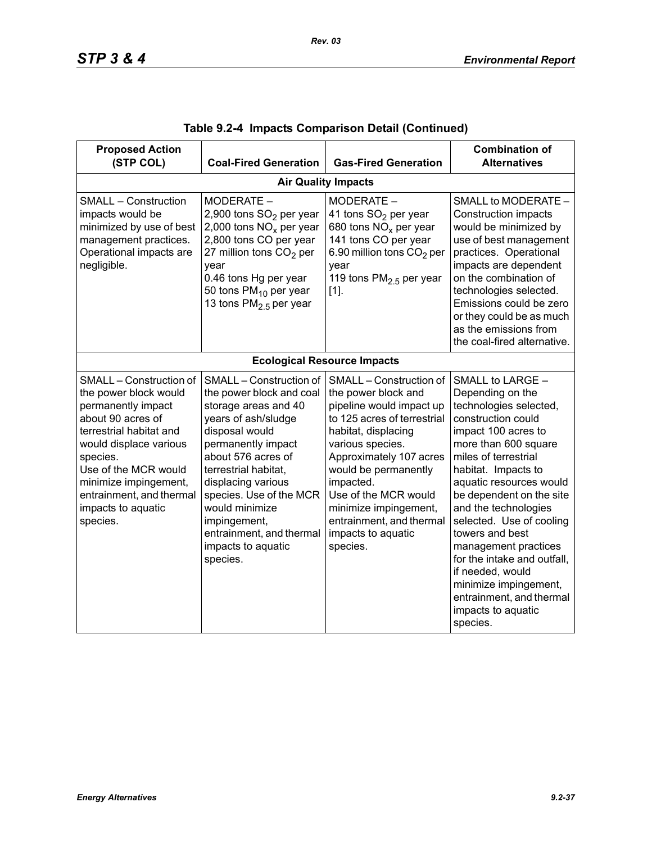| <b>Proposed Action</b><br>(STP COL)                                                                                                                                                                                                                                         | <b>Coal-Fired Generation</b>                                                                                                                                                                                                                                                                                                              | <b>Gas-Fired Generation</b>                                                                                                                                                                                                                                                                                                         | <b>Combination of</b><br><b>Alternatives</b>                                                                                                                                                                                                                                                                                                                                                                                                                                       |  |  |  |  |
|-----------------------------------------------------------------------------------------------------------------------------------------------------------------------------------------------------------------------------------------------------------------------------|-------------------------------------------------------------------------------------------------------------------------------------------------------------------------------------------------------------------------------------------------------------------------------------------------------------------------------------------|-------------------------------------------------------------------------------------------------------------------------------------------------------------------------------------------------------------------------------------------------------------------------------------------------------------------------------------|------------------------------------------------------------------------------------------------------------------------------------------------------------------------------------------------------------------------------------------------------------------------------------------------------------------------------------------------------------------------------------------------------------------------------------------------------------------------------------|--|--|--|--|
|                                                                                                                                                                                                                                                                             | <b>Air Quality Impacts</b>                                                                                                                                                                                                                                                                                                                |                                                                                                                                                                                                                                                                                                                                     |                                                                                                                                                                                                                                                                                                                                                                                                                                                                                    |  |  |  |  |
| <b>SMALL - Construction</b><br>impacts would be<br>minimized by use of best<br>management practices.<br>Operational impacts are<br>negligible.                                                                                                                              | MODERATE -<br>2,900 tons SO <sub>2</sub> per year<br>2,000 tons $NOx$ per year<br>2,800 tons CO per year<br>27 million tons $CO2$ per<br>year<br>0.46 tons Hg per year<br>50 tons $PM_{10}$ per year<br>13 tons $PM2.5$ per year                                                                                                          | MODERATE -<br>41 tons SO <sub>2</sub> per year<br>680 tons $NOx$ per year<br>141 tons CO per year<br>6.90 million tons CO <sub>2</sub> per<br>year<br>119 tons $PM2.5$ per year<br>$[1]$ .                                                                                                                                          | SMALL to MODERATE -<br><b>Construction impacts</b><br>would be minimized by<br>use of best management<br>practices. Operational<br>impacts are dependent<br>on the combination of<br>technologies selected.<br>Emissions could be zero<br>or they could be as much<br>as the emissions from<br>the coal-fired alternative.                                                                                                                                                         |  |  |  |  |
|                                                                                                                                                                                                                                                                             |                                                                                                                                                                                                                                                                                                                                           | <b>Ecological Resource Impacts</b>                                                                                                                                                                                                                                                                                                  |                                                                                                                                                                                                                                                                                                                                                                                                                                                                                    |  |  |  |  |
| SMALL - Construction of<br>the power block would<br>permanently impact<br>about 90 acres of<br>terrestrial habitat and<br>would displace various<br>species.<br>Use of the MCR would<br>minimize impingement,<br>entrainment, and thermal<br>impacts to aquatic<br>species. | SMALL - Construction of<br>the power block and coal<br>storage areas and 40<br>years of ash/sludge<br>disposal would<br>permanently impact<br>about 576 acres of<br>terrestrial habitat.<br>displacing various<br>species. Use of the MCR<br>would minimize<br>impingement,<br>entrainment, and thermal<br>impacts to aquatic<br>species. | SMALL - Construction of<br>the power block and<br>pipeline would impact up<br>to 125 acres of terrestrial<br>habitat, displacing<br>various species.<br>Approximately 107 acres<br>would be permanently<br>impacted.<br>Use of the MCR would<br>minimize impingement,<br>entrainment, and thermal<br>impacts to aquatic<br>species. | SMALL to LARGE -<br>Depending on the<br>technologies selected,<br>construction could<br>impact 100 acres to<br>more than 600 square<br>miles of terrestrial<br>habitat. Impacts to<br>aquatic resources would<br>be dependent on the site<br>and the technologies<br>selected. Use of cooling<br>towers and best<br>management practices<br>for the intake and outfall.<br>if needed, would<br>minimize impingement,<br>entrainment, and thermal<br>impacts to aquatic<br>species. |  |  |  |  |

|  |  | Table 9.2-4  Impacts Comparison Detail (Continued) |  |  |  |
|--|--|----------------------------------------------------|--|--|--|
|--|--|----------------------------------------------------|--|--|--|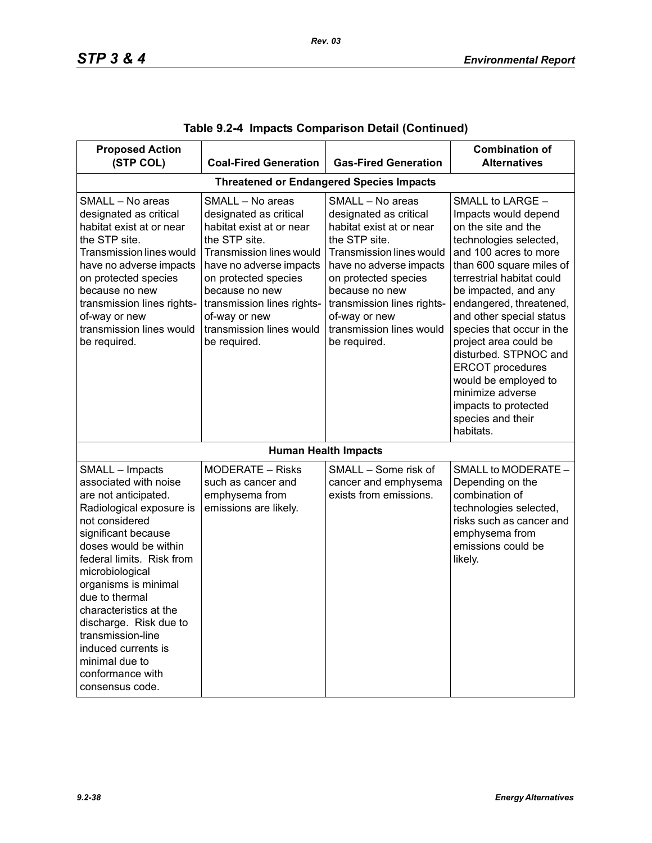| <b>Proposed Action</b><br>(STP COL)                                                                                                                                                                                                                                                                                                                                                                               | <b>Coal-Fired Generation</b>                                                                                                                                                                                                                                                        | <b>Gas-Fired Generation</b>                                                                                                                                                                                                                                                                | <b>Combination of</b><br><b>Alternatives</b>                                                                                                                                                                                                                                                                                                                                                                                                                               |  |  |
|-------------------------------------------------------------------------------------------------------------------------------------------------------------------------------------------------------------------------------------------------------------------------------------------------------------------------------------------------------------------------------------------------------------------|-------------------------------------------------------------------------------------------------------------------------------------------------------------------------------------------------------------------------------------------------------------------------------------|--------------------------------------------------------------------------------------------------------------------------------------------------------------------------------------------------------------------------------------------------------------------------------------------|----------------------------------------------------------------------------------------------------------------------------------------------------------------------------------------------------------------------------------------------------------------------------------------------------------------------------------------------------------------------------------------------------------------------------------------------------------------------------|--|--|
| <b>Threatened or Endangered Species Impacts</b>                                                                                                                                                                                                                                                                                                                                                                   |                                                                                                                                                                                                                                                                                     |                                                                                                                                                                                                                                                                                            |                                                                                                                                                                                                                                                                                                                                                                                                                                                                            |  |  |
| SMALL - No areas<br>designated as critical<br>habitat exist at or near<br>the STP site.<br><b>Transmission lines would</b><br>have no adverse impacts<br>on protected species<br>because no new<br>transmission lines rights-<br>of-way or new<br>transmission lines would<br>be required.                                                                                                                        | SMALL - No areas<br>designated as critical<br>habitat exist at or near<br>the STP site.<br>Transmission lines would<br>have no adverse impacts<br>on protected species<br>because no new<br>transmission lines rights-<br>of-way or new<br>transmission lines would<br>be required. | SMALL - No areas<br>designated as critical<br>habitat exist at or near<br>the STP site.<br><b>Transmission lines would</b><br>have no adverse impacts<br>on protected species<br>because no new<br>transmission lines rights-<br>of-way or new<br>transmission lines would<br>be required. | SMALL to LARGE -<br>Impacts would depend<br>on the site and the<br>technologies selected,<br>and 100 acres to more<br>than 600 square miles of<br>terrestrial habitat could<br>be impacted, and any<br>endangered, threatened,<br>and other special status<br>species that occur in the<br>project area could be<br>disturbed. STPNOC and<br><b>ERCOT</b> procedures<br>would be employed to<br>minimize adverse<br>impacts to protected<br>species and their<br>habitats. |  |  |
|                                                                                                                                                                                                                                                                                                                                                                                                                   |                                                                                                                                                                                                                                                                                     | <b>Human Health Impacts</b>                                                                                                                                                                                                                                                                |                                                                                                                                                                                                                                                                                                                                                                                                                                                                            |  |  |
| SMALL - Impacts<br>associated with noise<br>are not anticipated.<br>Radiological exposure is<br>not considered<br>significant because<br>doses would be within<br>federal limits. Risk from<br>microbiological<br>organisms is minimal<br>due to thermal<br>characteristics at the<br>discharge. Risk due to<br>transmission-line<br>induced currents is<br>minimal due to<br>conformance with<br>consensus code. | <b>MODERATE - Risks</b><br>such as cancer and<br>emphysema from<br>emissions are likely.                                                                                                                                                                                            | SMALL - Some risk of<br>cancer and emphysema<br>exists from emissions.                                                                                                                                                                                                                     | SMALL to MODERATE -<br>Depending on the<br>combination of<br>technologies selected,<br>risks such as cancer and<br>emphysema from<br>emissions could be<br>likely.                                                                                                                                                                                                                                                                                                         |  |  |

|  |  | Table 9.2-4  Impacts Comparison Detail (Continued) |  |  |  |
|--|--|----------------------------------------------------|--|--|--|
|--|--|----------------------------------------------------|--|--|--|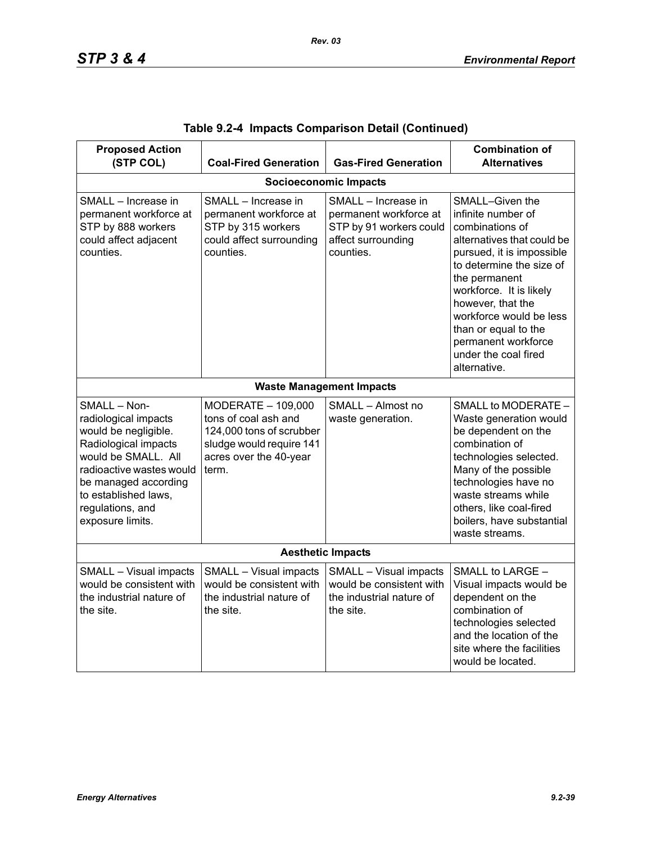| <b>Proposed Action</b><br>(STP COL)                                                                                                                                                                                             | <b>Coal-Fired Generation</b>                                                                                                          | <b>Gas-Fired Generation</b>                                                                                 | <b>Combination of</b><br><b>Alternatives</b>                                                                                                                                                                                                                                                                                       |  |  |  |  |
|---------------------------------------------------------------------------------------------------------------------------------------------------------------------------------------------------------------------------------|---------------------------------------------------------------------------------------------------------------------------------------|-------------------------------------------------------------------------------------------------------------|------------------------------------------------------------------------------------------------------------------------------------------------------------------------------------------------------------------------------------------------------------------------------------------------------------------------------------|--|--|--|--|
| <b>Socioeconomic Impacts</b>                                                                                                                                                                                                    |                                                                                                                                       |                                                                                                             |                                                                                                                                                                                                                                                                                                                                    |  |  |  |  |
| SMALL - Increase in<br>permanent workforce at<br>STP by 888 workers<br>could affect adjacent<br>counties.                                                                                                                       | SMALL - Increase in<br>permanent workforce at<br>STP by 315 workers<br>could affect surrounding<br>counties.                          | SMALL - Increase in<br>permanent workforce at<br>STP by 91 workers could<br>affect surrounding<br>counties. | SMALL-Given the<br>infinite number of<br>combinations of<br>alternatives that could be<br>pursued, it is impossible<br>to determine the size of<br>the permanent<br>workforce. It is likely<br>however, that the<br>workforce would be less<br>than or equal to the<br>permanent workforce<br>under the coal fired<br>alternative. |  |  |  |  |
|                                                                                                                                                                                                                                 |                                                                                                                                       | <b>Waste Management Impacts</b>                                                                             |                                                                                                                                                                                                                                                                                                                                    |  |  |  |  |
| SMALL - Non-<br>radiological impacts<br>would be negligible.<br>Radiological impacts<br>would be SMALL. All<br>radioactive wastes would<br>be managed according<br>to established laws,<br>regulations, and<br>exposure limits. | MODERATE - 109,000<br>tons of coal ash and<br>124,000 tons of scrubber<br>sludge would require 141<br>acres over the 40-year<br>term. | SMALL - Almost no<br>waste generation.                                                                      | SMALL to MODERATE -<br>Waste generation would<br>be dependent on the<br>combination of<br>technologies selected.<br>Many of the possible<br>technologies have no<br>waste streams while<br>others, like coal-fired<br>boilers, have substantial<br>waste streams.                                                                  |  |  |  |  |
| <b>Aesthetic Impacts</b>                                                                                                                                                                                                        |                                                                                                                                       |                                                                                                             |                                                                                                                                                                                                                                                                                                                                    |  |  |  |  |
| SMALL - Visual impacts<br>would be consistent with<br>the industrial nature of<br>the site.                                                                                                                                     | SMALL - Visual impacts<br>would be consistent with<br>the industrial nature of<br>the site.                                           | SMALL - Visual impacts<br>would be consistent with<br>the industrial nature of<br>the site.                 | SMALL to LARGE -<br>Visual impacts would be<br>dependent on the<br>combination of<br>technologies selected<br>and the location of the<br>site where the facilities<br>would be located.                                                                                                                                            |  |  |  |  |

|  |  | Table 9.2-4 Impacts Comparison Detail (Continued) |  |  |
|--|--|---------------------------------------------------|--|--|
|--|--|---------------------------------------------------|--|--|